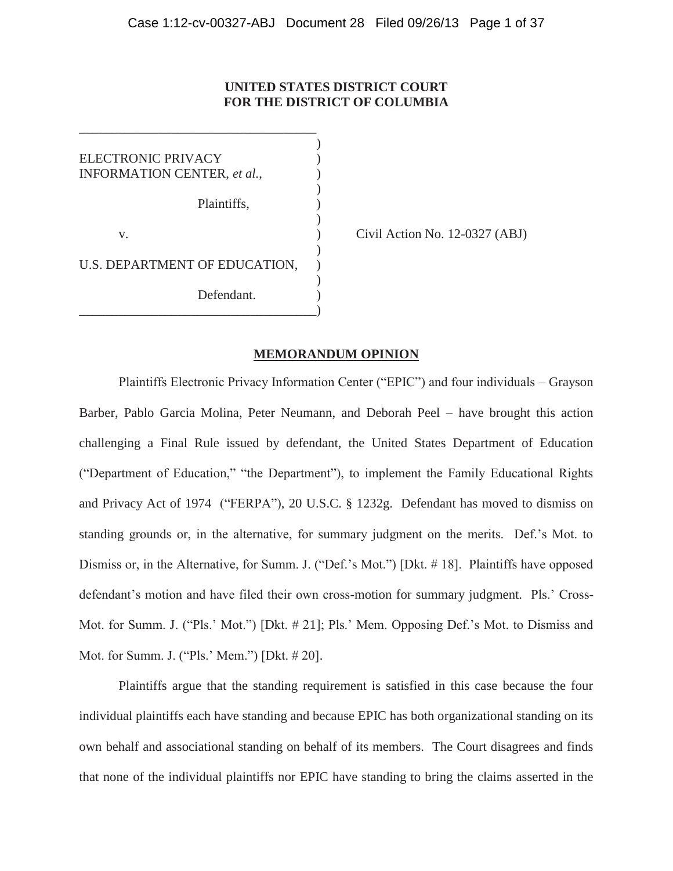# **UNITED STATES DISTRICT COURT FOR THE DISTRICT OF COLUMBIA**

) ELECTRONIC PRIVACY ) INFORMATION CENTER, et al., ) Plaintiffs, )  $\lambda$ v. **(a)** Civil Action No. 12-0327 (ABJ) ) U.S. DEPARTMENT OF EDUCATION, ) Defendant. \_\_\_\_\_\_\_\_\_\_\_\_\_\_\_\_\_\_\_\_\_\_\_\_\_\_\_\_\_\_\_\_\_\_\_\_)

\_\_\_\_\_\_\_\_\_\_\_\_\_\_\_\_\_\_\_\_\_\_\_\_\_\_\_\_\_\_\_\_\_\_\_\_

# **MEMORANDUM OPINION**

Plaintiffs Electronic Privacy Information Center ("EPIC") and four individuals – Grayson Barber, Pablo Garcia Molina, Peter Neumann, and Deborah Peel – have brought this action challenging a Final Rule issued by defendant, the United States Department of Education ("Department of Education," "the Department"), to implement the Family Educational Rights and Privacy Act of 1974 ("FERPA"), 20 U.S.C. § 1232g. Defendant has moved to dismiss on standing grounds or, in the alternative, for summary judgment on the merits. Def.'s Mot. to Dismiss or, in the Alternative, for Summ. J. ("Def.'s Mot.") [Dkt. # 18]. Plaintiffs have opposed defendant's motion and have filed their own cross-motion for summary judgment. Pls.' Cross-Mot. for Summ. J. ("Pls.' Mot.") [Dkt. # 21]; Pls.' Mem. Opposing Def.'s Mot. to Dismiss and Mot. for Summ. J. ("Pls.' Mem.") [Dkt. # 20].

Plaintiffs argue that the standing requirement is satisfied in this case because the four individual plaintiffs each have standing and because EPIC has both organizational standing on its own behalf and associational standing on behalf of its members. The Court disagrees and finds that none of the individual plaintiffs nor EPIC have standing to bring the claims asserted in the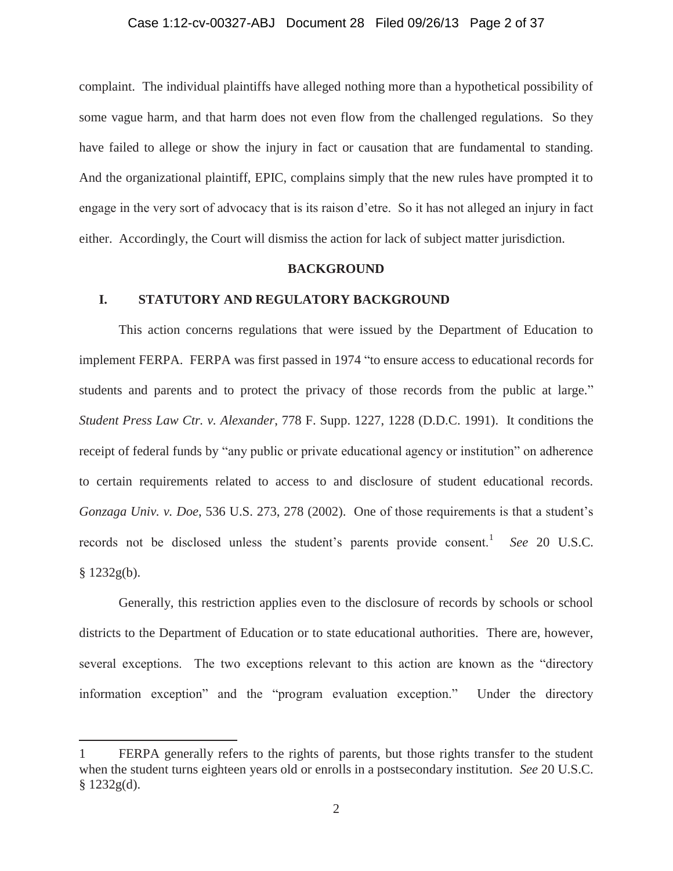# Case 1:12-cv-00327-ABJ Document 28 Filed 09/26/13 Page 2 of 37

complaint. The individual plaintiffs have alleged nothing more than a hypothetical possibility of some vague harm, and that harm does not even flow from the challenged regulations. So they have failed to allege or show the injury in fact or causation that are fundamental to standing. And the organizational plaintiff, EPIC, complains simply that the new rules have prompted it to engage in the very sort of advocacy that is its raison d'etre. So it has not alleged an injury in fact either. Accordingly, the Court will dismiss the action for lack of subject matter jurisdiction.

# **BACKGROUND**

# **I. STATUTORY AND REGULATORY BACKGROUND**

This action concerns regulations that were issued by the Department of Education to implement FERPA. FERPA was first passed in 1974 "to ensure access to educational records for students and parents and to protect the privacy of those records from the public at large." *Student Press Law Ctr. v. Alexander*, 778 F. Supp. 1227, 1228 (D.D.C. 1991). It conditions the receipt of federal funds by "any public or private educational agency or institution" on adherence to certain requirements related to access to and disclosure of student educational records. *Gonzaga Univ. v. Doe*, 536 U.S. 273, 278 (2002). One of those requirements is that a student's records not be disclosed unless the student's parents provide consent.<sup>1</sup> See 20 U.S.C.  $§ 1232g(b).$ 

Generally, this restriction applies even to the disclosure of records by schools or school districts to the Department of Education or to state educational authorities. There are, however, several exceptions. The two exceptions relevant to this action are known as the "directory information exception" and the "program evaluation exception." Under the directory

<sup>1</sup> FERPA generally refers to the rights of parents, but those rights transfer to the student when the student turns eighteen years old or enrolls in a postsecondary institution. *See* 20 U.S.C.  $§$  1232g(d).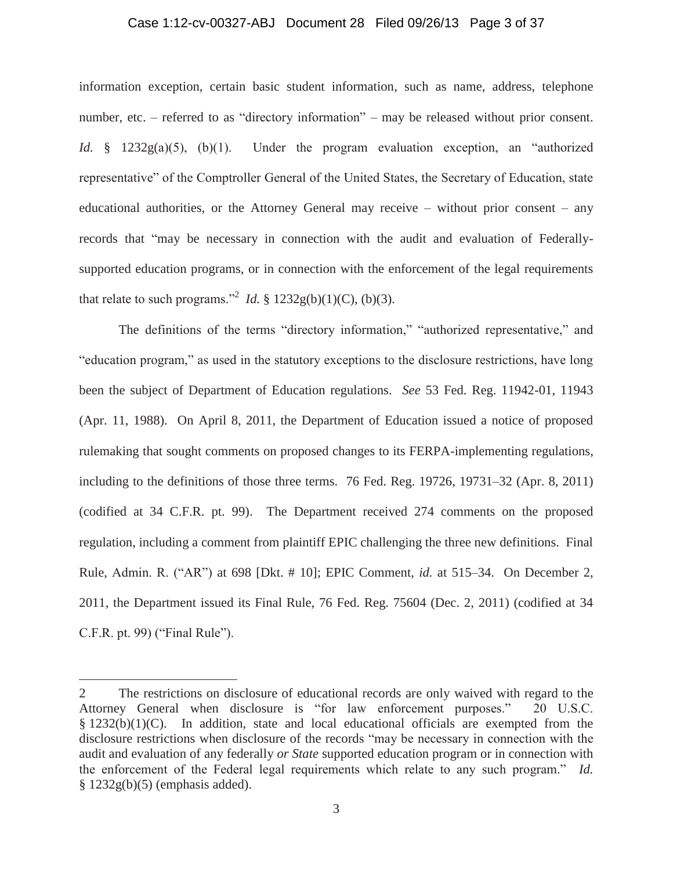#### Case 1:12-cv-00327-ABJ Document 28 Filed 09/26/13 Page 3 of 37

information exception, certain basic student information, such as name, address, telephone number, etc. – referred to as "directory information" – may be released without prior consent. *Id.* § 1232g(a)(5), (b)(1). Under the program evaluation exception, an "authorized representative" of the Comptroller General of the United States, the Secretary of Education, state educational authorities, or the Attorney General may receive – without prior consent – any records that "may be necessary in connection with the audit and evaluation of Federallysupported education programs, or in connection with the enforcement of the legal requirements that relate to such programs."<sup>2</sup> *Id.* § 1232g(b)(1)(C), (b)(3).

The definitions of the terms "directory information," "authorized representative," and "education program," as used in the statutory exceptions to the disclosure restrictions, have long been the subject of Department of Education regulations. *See* 53 Fed. Reg. 11942-01, 11943 (Apr. 11, 1988). On April 8, 2011, the Department of Education issued a notice of proposed rulemaking that sought comments on proposed changes to its FERPA-implementing regulations, including to the definitions of those three terms. 76 Fed. Reg. 19726, 19731–32 (Apr. 8, 2011) (codified at 34 C.F.R. pt. 99). The Department received 274 comments on the proposed regulation, including a comment from plaintiff EPIC challenging the three new definitions. Final Rule, Admin. R. ("AR") at 698 [Dkt. # 10]; EPIC Comment, *id.* at 515–34. On December 2, 2011, the Department issued its Final Rule, 76 Fed. Reg. 75604 (Dec. 2, 2011) (codified at 34 C.F.R. pt. 99) ("Final Rule").

<sup>2</sup> The restrictions on disclosure of educational records are only waived with regard to the Attorney General when disclosure is "for law enforcement purposes." 20 U.S.C.  $§ 1232(b)(1)(C)$ . In addition, state and local educational officials are exempted from the disclosure restrictions when disclosure of the records "may be necessary in connection with the audit and evaluation of any federally *or State* supported education program or in connection with the enforcement of the Federal legal requirements which relate to any such program." *Id.* § 1232g(b)(5) (emphasis added).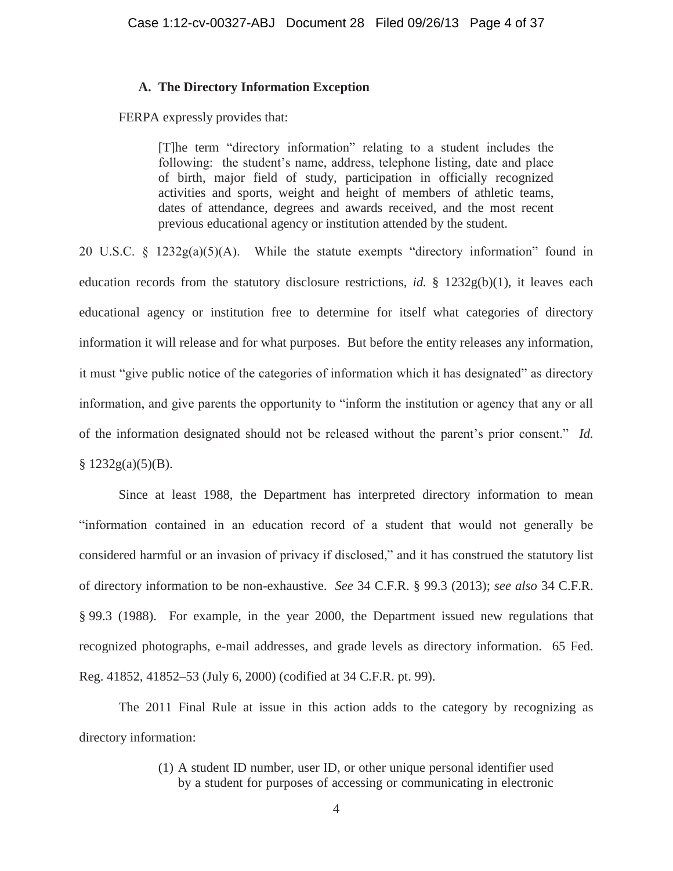# **A. The Directory Information Exception**

FERPA expressly provides that:

[T]he term "directory information" relating to a student includes the following: the student's name, address, telephone listing, date and place of birth, major field of study, participation in officially recognized activities and sports, weight and height of members of athletic teams, dates of attendance, degrees and awards received, and the most recent previous educational agency or institution attended by the student.

20 U.S.C. § 1232g(a)(5)(A). While the statute exempts "directory information" found in education records from the statutory disclosure restrictions, *id.* §  $1232g(b)(1)$ , it leaves each educational agency or institution free to determine for itself what categories of directory information it will release and for what purposes. But before the entity releases any information, it must "give public notice of the categories of information which it has designated" as directory information, and give parents the opportunity to "inform the institution or agency that any or all of the information designated should not be released without the parent's prior consent." *Id.*  $§ 1232g(a)(5)(B).$ 

Since at least 1988, the Department has interpreted directory information to mean "information contained in an education record of a student that would not generally be considered harmful or an invasion of privacy if disclosed," and it has construed the statutory list of directory information to be non-exhaustive. *See* 34 C.F.R. § 99.3 (2013); *see also* 34 C.F.R. § 99.3 (1988). For example, in the year 2000, the Department issued new regulations that recognized photographs, e-mail addresses, and grade levels as directory information. 65 Fed. Reg. 41852, 41852–53 (July 6, 2000) (codified at 34 C.F.R. pt. 99).

The 2011 Final Rule at issue in this action adds to the category by recognizing as directory information:

> (1) A student ID number, user ID, or other unique personal identifier used by a student for purposes of accessing or communicating in electronic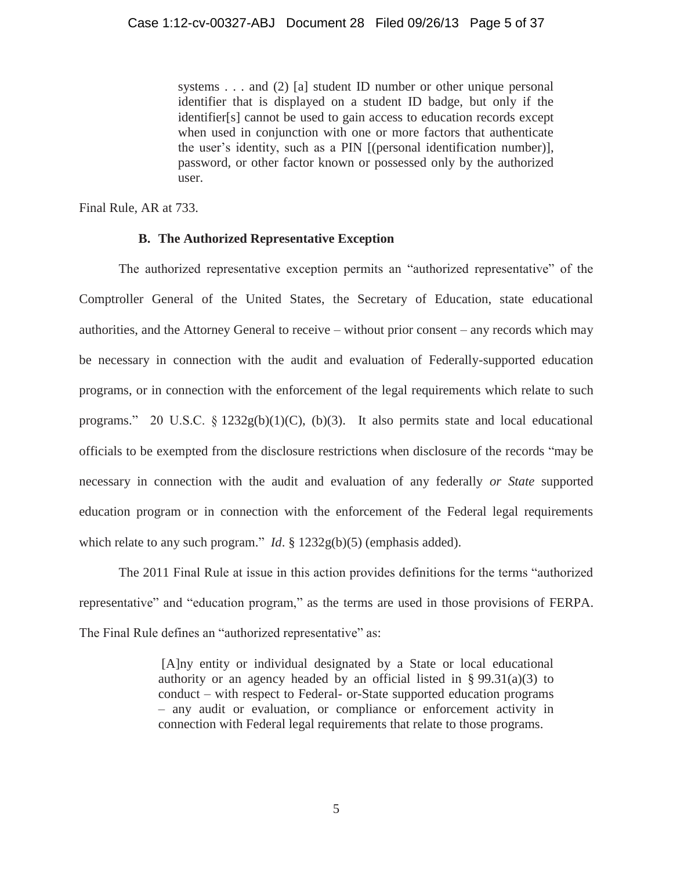systems . . . and (2) [a] student ID number or other unique personal identifier that is displayed on a student ID badge, but only if the identifier[s] cannot be used to gain access to education records except when used in conjunction with one or more factors that authenticate the user's identity, such as a PIN [(personal identification number)], password, or other factor known or possessed only by the authorized user.

Final Rule, AR at 733.

# **B. The Authorized Representative Exception**

The authorized representative exception permits an "authorized representative" of the Comptroller General of the United States, the Secretary of Education, state educational authorities, and the Attorney General to receive – without prior consent – any records which may be necessary in connection with the audit and evaluation of Federally-supported education programs, or in connection with the enforcement of the legal requirements which relate to such programs." 20 U.S.C.  $\S$  1232g(b)(1)(C), (b)(3). It also permits state and local educational officials to be exempted from the disclosure restrictions when disclosure of the records "may be necessary in connection with the audit and evaluation of any federally *or State* supported education program or in connection with the enforcement of the Federal legal requirements which relate to any such program." *Id.* § 1232g(b)(5) (emphasis added).

The 2011 Final Rule at issue in this action provides definitions for the terms "authorized representative" and "education program," as the terms are used in those provisions of FERPA. The Final Rule defines an "authorized representative" as:

> [A]ny entity or individual designated by a State or local educational authority or an agency headed by an official listed in §  $99.31(a)(3)$  to conduct – with respect to Federal- or-State supported education programs – any audit or evaluation, or compliance or enforcement activity in connection with Federal legal requirements that relate to those programs.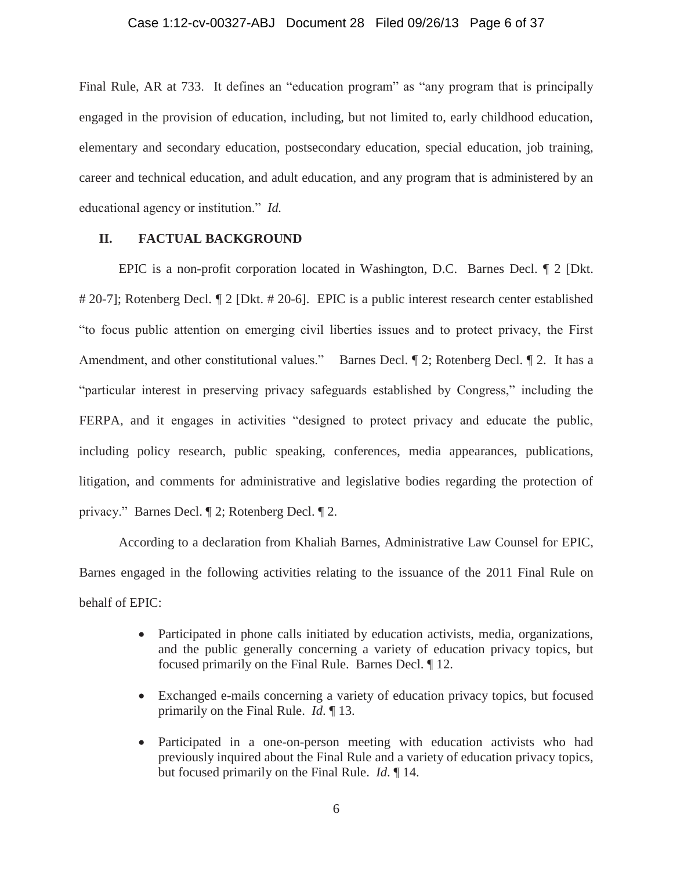# Case 1:12-cv-00327-ABJ Document 28 Filed 09/26/13 Page 6 of 37

Final Rule, AR at 733. It defines an "education program" as "any program that is principally engaged in the provision of education, including, but not limited to, early childhood education, elementary and secondary education, postsecondary education, special education, job training, career and technical education, and adult education, and any program that is administered by an educational agency or institution." *Id.* 

# **II. FACTUAL BACKGROUND**

EPIC is a non-profit corporation located in Washington, D.C. Barnes Decl. ¶ 2 [Dkt. # 20-7]; Rotenberg Decl. ¶ 2 [Dkt. # 20-6]. EPIC is a public interest research center established "to focus public attention on emerging civil liberties issues and to protect privacy, the First Amendment, and other constitutional values." Barnes Decl.  $\P$  2; Rotenberg Decl.  $\P$  2. It has a "particular interest in preserving privacy safeguards established by Congress," including the FERPA, and it engages in activities "designed to protect privacy and educate the public, including policy research, public speaking, conferences, media appearances, publications, litigation, and comments for administrative and legislative bodies regarding the protection of privacy." Barnes Decl. ¶ 2; Rotenberg Decl. ¶ 2.

According to a declaration from Khaliah Barnes, Administrative Law Counsel for EPIC, Barnes engaged in the following activities relating to the issuance of the 2011 Final Rule on behalf of EPIC:

- Participated in phone calls initiated by education activists, media, organizations, and the public generally concerning a variety of education privacy topics, but focused primarily on the Final Rule. Barnes Decl. ¶ 12.
- Exchanged e-mails concerning a variety of education privacy topics, but focused primarily on the Final Rule. *Id*. ¶ 13.
- Participated in a one-on-person meeting with education activists who had previously inquired about the Final Rule and a variety of education privacy topics, but focused primarily on the Final Rule. *Id*. ¶ 14.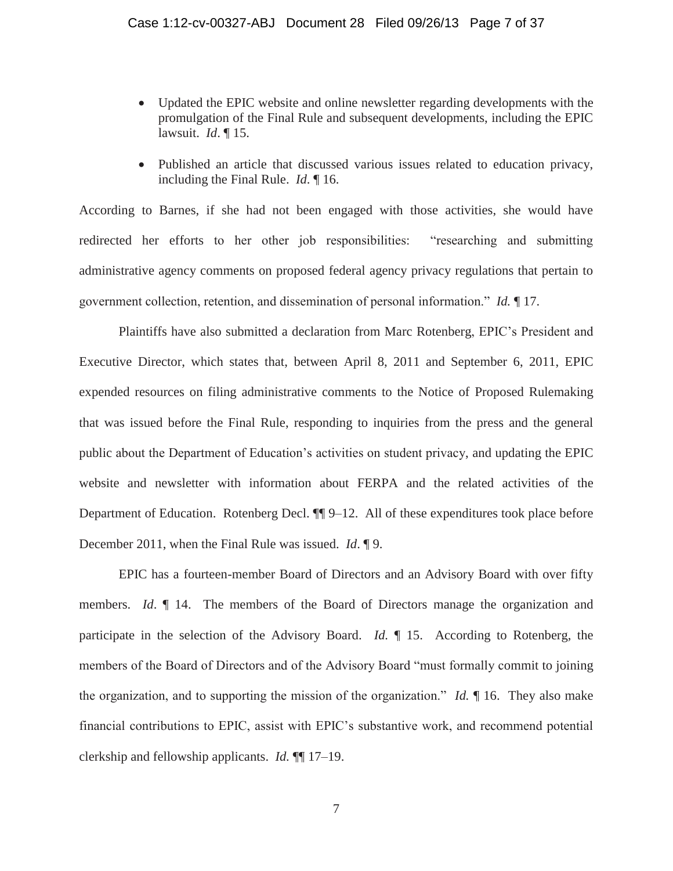- Updated the EPIC website and online newsletter regarding developments with the promulgation of the Final Rule and subsequent developments, including the EPIC lawsuit. *Id*. ¶ 15.
- Published an article that discussed various issues related to education privacy, including the Final Rule. *Id*. ¶ 16.

According to Barnes, if she had not been engaged with those activities, she would have redirected her efforts to her other job responsibilities: "researching and submitting administrative agency comments on proposed federal agency privacy regulations that pertain to government collection, retention, and dissemination of personal information." *Id.* ¶ 17.

Plaintiffs have also submitted a declaration from Marc Rotenberg, EPIC's President and Executive Director, which states that, between April 8, 2011 and September 6, 2011, EPIC expended resources on filing administrative comments to the Notice of Proposed Rulemaking that was issued before the Final Rule, responding to inquiries from the press and the general public about the Department of Education's activities on student privacy, and updating the EPIC website and newsletter with information about FERPA and the related activities of the Department of Education. Rotenberg Decl. ¶¶ 9–12. All of these expenditures took place before December 2011, when the Final Rule was issued. *Id*. ¶ 9.

EPIC has a fourteen-member Board of Directors and an Advisory Board with over fifty members. *Id*. ¶ 14. The members of the Board of Directors manage the organization and participate in the selection of the Advisory Board. *Id.* ¶ 15. According to Rotenberg, the members of the Board of Directors and of the Advisory Board "must formally commit to joining the organization, and to supporting the mission of the organization." *Id.* ¶ 16. They also make financial contributions to EPIC, assist with EPIC's substantive work, and recommend potential clerkship and fellowship applicants. *Id.* ¶¶ 17–19.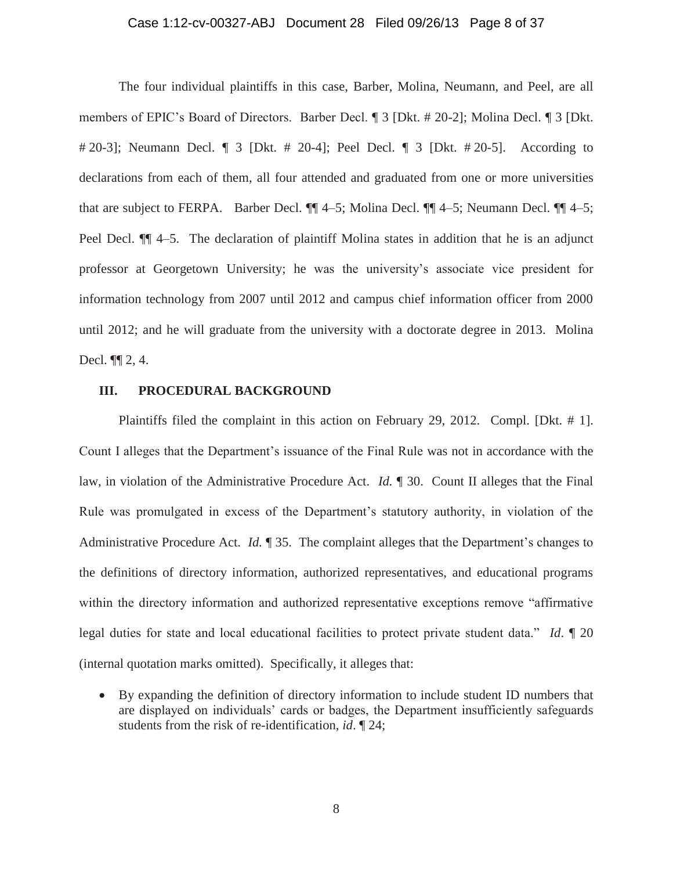#### Case 1:12-cv-00327-ABJ Document 28 Filed 09/26/13 Page 8 of 37

The four individual plaintiffs in this case, Barber, Molina, Neumann, and Peel, are all members of EPIC's Board of Directors. Barber Decl. ¶ 3 [Dkt. # 20-2]; Molina Decl. ¶ 3 [Dkt. # 20-3]; Neumann Decl. ¶ 3 [Dkt. # 20-4]; Peel Decl. ¶ 3 [Dkt. # 20-5]. According to declarations from each of them, all four attended and graduated from one or more universities that are subject to FERPA. Barber Decl. ¶¶ 4–5; Molina Decl. ¶¶ 4–5; Neumann Decl. ¶¶ 4–5; Peel Decl.  $\P$  4–5. The declaration of plaintiff Molina states in addition that he is an adjunct professor at Georgetown University; he was the university's associate vice president for information technology from 2007 until 2012 and campus chief information officer from 2000 until 2012; and he will graduate from the university with a doctorate degree in 2013. Molina Decl. ¶¶ 2, 4.

# **III. PROCEDURAL BACKGROUND**

Plaintiffs filed the complaint in this action on February 29, 2012. Compl. [Dkt. # 1]. Count I alleges that the Department's issuance of the Final Rule was not in accordance with the law, in violation of the Administrative Procedure Act. *Id.* ¶ 30. Count II alleges that the Final Rule was promulgated in excess of the Department's statutory authority, in violation of the Administrative Procedure Act. *Id.* ¶ 35. The complaint alleges that the Department's changes to the definitions of directory information, authorized representatives, and educational programs within the directory information and authorized representative exceptions remove "affirmative legal duties for state and local educational facilities to protect private student data." *Id*. ¶ 20 (internal quotation marks omitted). Specifically, it alleges that:

• By expanding the definition of directory information to include student ID numbers that are displayed on individuals' cards or badges, the Department insufficiently safeguards students from the risk of re-identification, *id*. ¶ 24;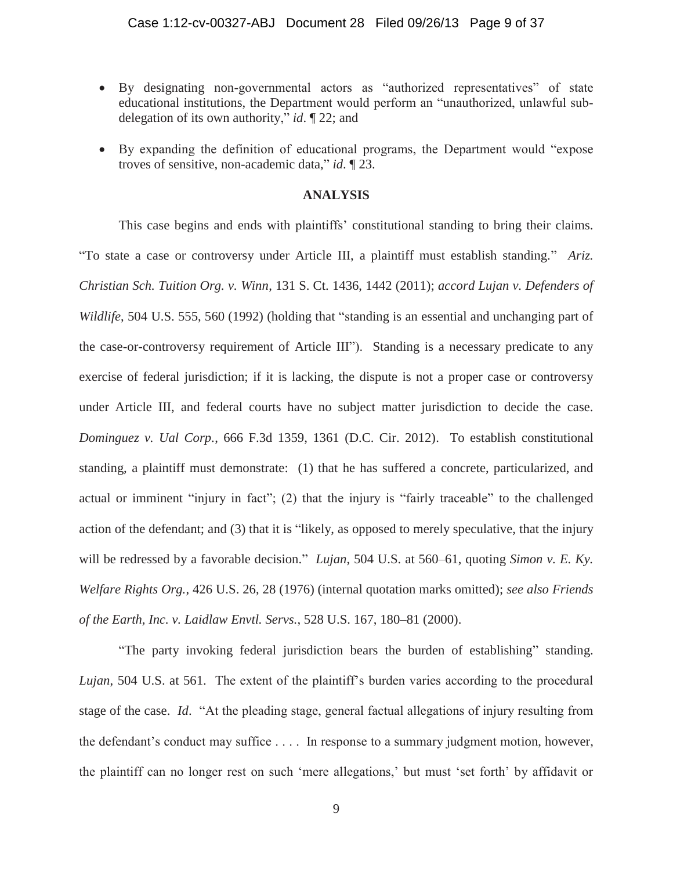# Case 1:12-cv-00327-ABJ Document 28 Filed 09/26/13 Page 9 of 37

- x By designating non-governmental actors as "authorized representatives" of state educational institutions, the Department would perform an "unauthorized, unlawful subdelegation of its own authority," *id*. ¶ 22; and
- x By expanding the definition of educational programs, the Department would "expose troves of sensitive, non-academic data," *id*. ¶ 23.

# **ANALYSIS**

This case begins and ends with plaintiffs' constitutional standing to bring their claims. "To state a case or controversy under Article III, a plaintiff must establish standing." *Ariz. Christian Sch. Tuition Org. v. Winn*, 131 S. Ct. 1436, 1442 (2011); *accord Lujan v. Defenders of Wildlife*, 504 U.S. 555, 560 (1992) (holding that "standing is an essential and unchanging part of the case-or-controversy requirement of Article III"). Standing is a necessary predicate to any exercise of federal jurisdiction; if it is lacking, the dispute is not a proper case or controversy under Article III, and federal courts have no subject matter jurisdiction to decide the case. *Dominguez v. Ual Corp.*, 666 F.3d 1359, 1361 (D.C. Cir. 2012). To establish constitutional standing, a plaintiff must demonstrate: (1) that he has suffered a concrete, particularized, and actual or imminent "injury in fact"; (2) that the injury is "fairly traceable" to the challenged action of the defendant; and (3) that it is "likely, as opposed to merely speculative, that the injury will be redressed by a favorable decision." *Lujan*, 504 U.S. at 560–61, quoting *Simon v. E. Ky. Welfare Rights Org.*, 426 U.S. 26, 28 (1976) (internal quotation marks omitted); *see also Friends of the Earth, Inc. v. Laidlaw Envtl. Servs.*, 528 U.S. 167, 180–81 (2000).

"The party invoking federal jurisdiction bears the burden of establishing" standing. *Lujan*, 504 U.S. at 561. The extent of the plaintiff's burden varies according to the procedural stage of the case. *Id*. "At the pleading stage, general factual allegations of injury resulting from the defendant's conduct may suffice . . . . In response to a summary judgment motion, however, the plaintiff can no longer rest on such 'mere allegations,' but must 'set forth' by affidavit or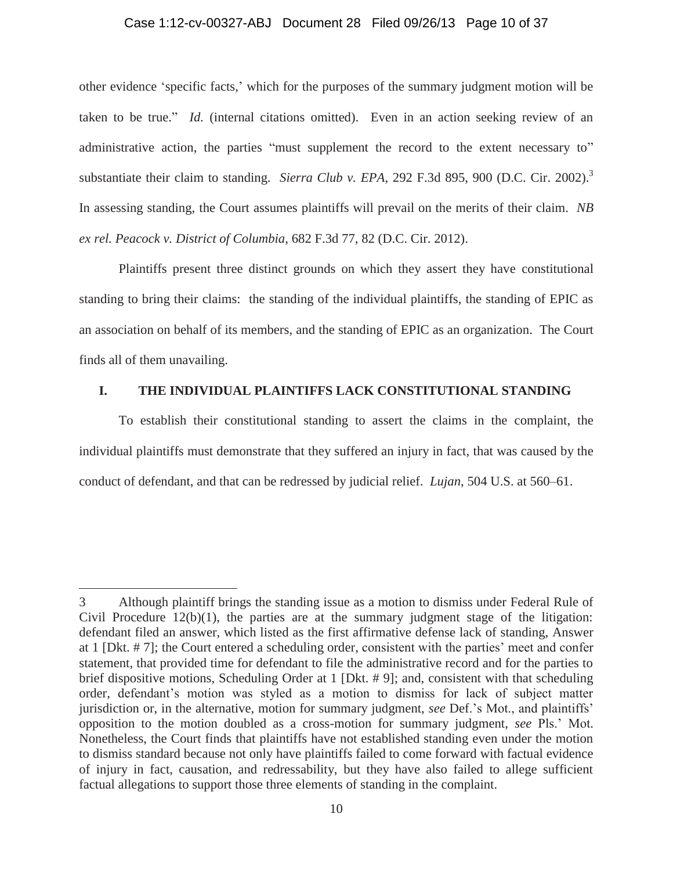# Case 1:12-cv-00327-ABJ Document 28 Filed 09/26/13 Page 10 of 37

other evidence 'specific facts,' which for the purposes of the summary judgment motion will be taken to be true." *Id.* (internal citations omitted). Even in an action seeking review of an administrative action, the parties "must supplement the record to the extent necessary to" substantiate their claim to standing. *Sierra Club v. EPA*, 292 F.3d 895, 900 (D.C. Cir. 2002).<sup>3</sup> In assessing standing, the Court assumes plaintiffs will prevail on the merits of their claim. *NB ex rel. Peacock v. District of Columbia*, 682 F.3d 77, 82 (D.C. Cir. 2012).

Plaintiffs present three distinct grounds on which they assert they have constitutional standing to bring their claims: the standing of the individual plaintiffs, the standing of EPIC as an association on behalf of its members, and the standing of EPIC as an organization. The Court finds all of them unavailing.

# **I. THE INDIVIDUAL PLAINTIFFS LACK CONSTITUTIONAL STANDING**

To establish their constitutional standing to assert the claims in the complaint, the individual plaintiffs must demonstrate that they suffered an injury in fact, that was caused by the conduct of defendant, and that can be redressed by judicial relief. *Lujan*, 504 U.S. at 560–61.

<sup>3</sup> Although plaintiff brings the standing issue as a motion to dismiss under Federal Rule of Civil Procedure  $12(b)(1)$ , the parties are at the summary judgment stage of the litigation: defendant filed an answer, which listed as the first affirmative defense lack of standing, Answer at 1 [Dkt. # 7]; the Court entered a scheduling order, consistent with the parties' meet and confer statement, that provided time for defendant to file the administrative record and for the parties to brief dispositive motions, Scheduling Order at 1 [Dkt. # 9]; and, consistent with that scheduling order, defendant's motion was styled as a motion to dismiss for lack of subject matter jurisdiction or, in the alternative, motion for summary judgment, *see* Def.'s Mot., and plaintiffs' opposition to the motion doubled as a cross-motion for summary judgment, *see* Pls.' Mot. Nonetheless, the Court finds that plaintiffs have not established standing even under the motion to dismiss standard because not only have plaintiffs failed to come forward with factual evidence of injury in fact, causation, and redressability, but they have also failed to allege sufficient factual allegations to support those three elements of standing in the complaint.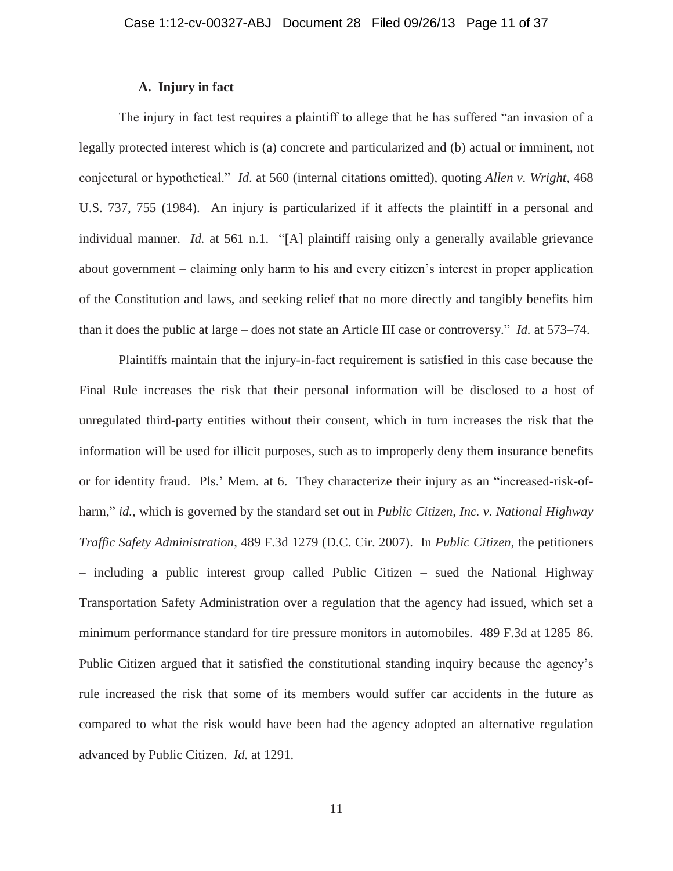# **A. Injury in fact**

The injury in fact test requires a plaintiff to allege that he has suffered "an invasion of a legally protected interest which is (a) concrete and particularized and (b) actual or imminent, not conjectural or hypothetical." *Id*. at 560 (internal citations omitted), quoting *Allen v. Wright*, 468 U.S. 737, 755 (1984). An injury is particularized if it affects the plaintiff in a personal and individual manner. *Id.* at 561 n.1. "[A] plaintiff raising only a generally available grievance about government – claiming only harm to his and every citizen's interest in proper application of the Constitution and laws, and seeking relief that no more directly and tangibly benefits him than it does the public at large – does not state an Article III case or controversy." *Id.* at 573–74.

Plaintiffs maintain that the injury-in-fact requirement is satisfied in this case because the Final Rule increases the risk that their personal information will be disclosed to a host of unregulated third-party entities without their consent, which in turn increases the risk that the information will be used for illicit purposes, such as to improperly deny them insurance benefits or for identity fraud. Pls.' Mem. at 6. They characterize their injury as an "increased-risk-ofharm," *id.*, which is governed by the standard set out in *Public Citizen, Inc. v. National Highway Traffic Safety Administration*, 489 F.3d 1279 (D.C. Cir. 2007). In *Public Citizen*, the petitioners – including a public interest group called Public Citizen – sued the National Highway Transportation Safety Administration over a regulation that the agency had issued, which set a minimum performance standard for tire pressure monitors in automobiles. 489 F.3d at 1285–86. Public Citizen argued that it satisfied the constitutional standing inquiry because the agency's rule increased the risk that some of its members would suffer car accidents in the future as compared to what the risk would have been had the agency adopted an alternative regulation advanced by Public Citizen. *Id.* at 1291.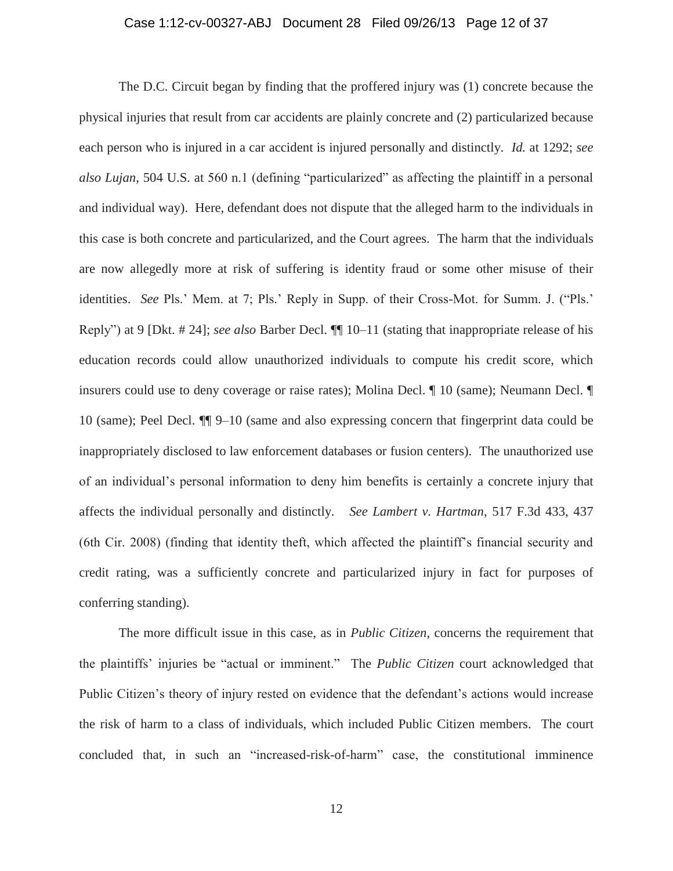# Case 1:12-cv-00327-ABJ Document 28 Filed 09/26/13 Page 12 of 37

The D.C. Circuit began by finding that the proffered injury was (1) concrete because the physical injuries that result from car accidents are plainly concrete and (2) particularized because each person who is injured in a car accident is injured personally and distinctly. *Id.* at 1292; *see also Lujan*, 504 U.S. at 560 n.1 (defining "particularized" as affecting the plaintiff in a personal and individual way). Here, defendant does not dispute that the alleged harm to the individuals in this case is both concrete and particularized, and the Court agrees. The harm that the individuals are now allegedly more at risk of suffering is identity fraud or some other misuse of their identities. *See* Pls.' Mem. at 7; Pls.' Reply in Supp. of their Cross-Mot. for Summ. J. ("Pls.' Reply") at 9 [Dkt. # 24]; *see also* Barber Decl. ¶¶ 10–11 (stating that inappropriate release of his education records could allow unauthorized individuals to compute his credit score, which insurers could use to deny coverage or raise rates); Molina Decl. ¶ 10 (same); Neumann Decl. ¶ 10 (same); Peel Decl. ¶¶ 9–10 (same and also expressing concern that fingerprint data could be inappropriately disclosed to law enforcement databases or fusion centers). The unauthorized use of an individual's personal information to deny him benefits is certainly a concrete injury that affects the individual personally and distinctly. *See Lambert v. Hartman*, 517 F.3d 433, 437 (6th Cir. 2008) (finding that identity theft, which affected the plaintiff's financial security and credit rating, was a sufficiently concrete and particularized injury in fact for purposes of conferring standing).

The more difficult issue in this case, as in *Public Citizen*, concerns the requirement that the plaintiffs' injuries be "actual or imminent." The *Public Citizen* court acknowledged that Public Citizen's theory of injury rested on evidence that the defendant's actions would increase the risk of harm to a class of individuals, which included Public Citizen members. The court concluded that, in such an "increased-risk-of-harm" case, the constitutional imminence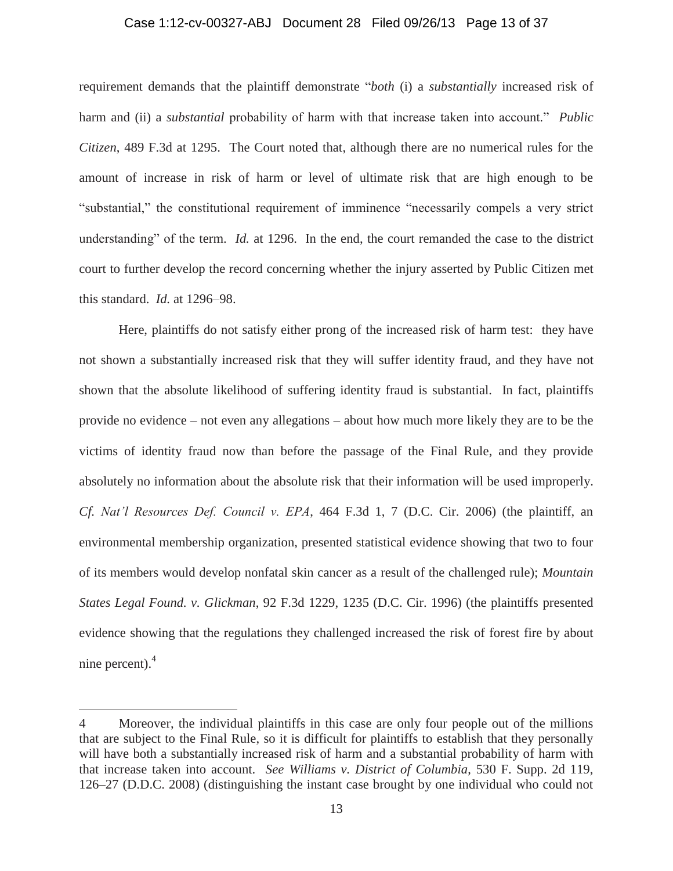#### Case 1:12-cv-00327-ABJ Document 28 Filed 09/26/13 Page 13 of 37

requirement demands that the plaintiff demonstrate "*both* (i) a *substantially* increased risk of harm and (ii) a *substantial* probability of harm with that increase taken into account." *Public Citizen*, 489 F.3d at 1295. The Court noted that, although there are no numerical rules for the amount of increase in risk of harm or level of ultimate risk that are high enough to be "substantial," the constitutional requirement of imminence "necessarily compels a very strict understanding" of the term. *Id.* at 1296. In the end, the court remanded the case to the district court to further develop the record concerning whether the injury asserted by Public Citizen met this standard. *Id.* at 1296–98.

Here, plaintiffs do not satisfy either prong of the increased risk of harm test: they have not shown a substantially increased risk that they will suffer identity fraud, and they have not shown that the absolute likelihood of suffering identity fraud is substantial. In fact, plaintiffs provide no evidence – not even any allegations – about how much more likely they are to be the victims of identity fraud now than before the passage of the Final Rule, and they provide absolutely no information about the absolute risk that their information will be used improperly. *Cf. Nat'l Resources Def. Council v. EPA*, 464 F.3d 1, 7 (D.C. Cir. 2006) (the plaintiff, an environmental membership organization, presented statistical evidence showing that two to four of its members would develop nonfatal skin cancer as a result of the challenged rule); *Mountain States Legal Found. v. Glickman*, 92 F.3d 1229, 1235 (D.C. Cir. 1996) (the plaintiffs presented evidence showing that the regulations they challenged increased the risk of forest fire by about nine percent).<sup>4</sup>

<sup>4</sup> Moreover, the individual plaintiffs in this case are only four people out of the millions that are subject to the Final Rule, so it is difficult for plaintiffs to establish that they personally will have both a substantially increased risk of harm and a substantial probability of harm with that increase taken into account. *See Williams v. District of Columbia*, 530 F. Supp. 2d 119, 126–27 (D.D.C. 2008) (distinguishing the instant case brought by one individual who could not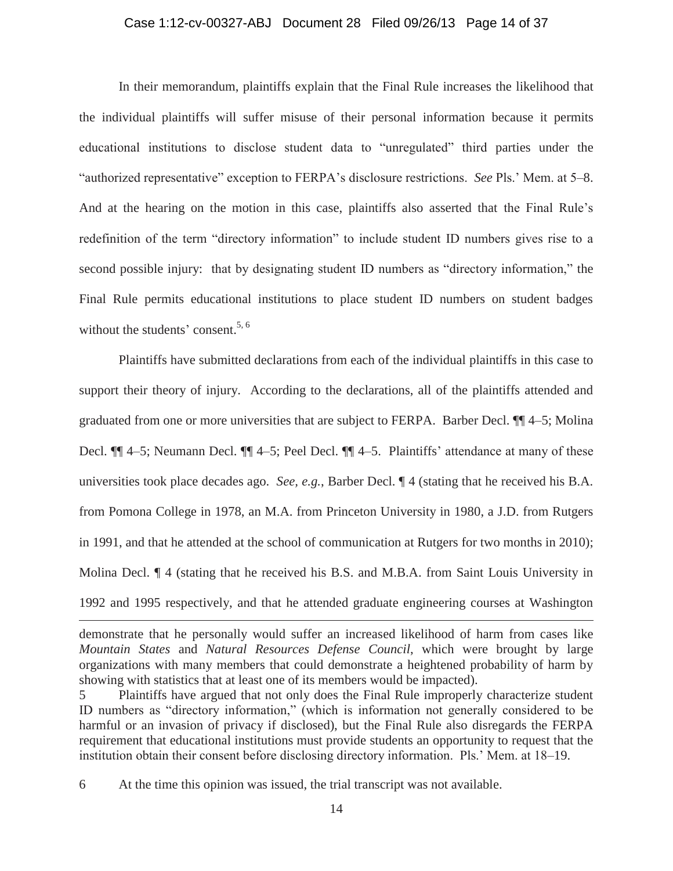### Case 1:12-cv-00327-ABJ Document 28 Filed 09/26/13 Page 14 of 37

In their memorandum, plaintiffs explain that the Final Rule increases the likelihood that the individual plaintiffs will suffer misuse of their personal information because it permits educational institutions to disclose student data to "unregulated" third parties under the "authorized representative" exception to FERPA's disclosure restrictions. *See* Pls.' Mem. at 5–8. And at the hearing on the motion in this case, plaintiffs also asserted that the Final Rule's redefinition of the term "directory information" to include student ID numbers gives rise to a second possible injury: that by designating student ID numbers as "directory information," the Final Rule permits educational institutions to place student ID numbers on student badges without the students' consent.<sup>5, 6</sup>

Plaintiffs have submitted declarations from each of the individual plaintiffs in this case to support their theory of injury. According to the declarations, all of the plaintiffs attended and graduated from one or more universities that are subject to FERPA. Barber Decl. ¶¶ 4–5; Molina Decl. ¶¶ 4–5; Neumann Decl. ¶¶ 4–5; Peel Decl. ¶¶ 4–5. Plaintiffs' attendance at many of these universities took place decades ago. *See, e.g.*, Barber Decl. ¶ 4 (stating that he received his B.A. from Pomona College in 1978, an M.A. from Princeton University in 1980, a J.D. from Rutgers in 1991, and that he attended at the school of communication at Rutgers for two months in 2010); Molina Decl. ¶ 4 (stating that he received his B.S. and M.B.A. from Saint Louis University in 1992 and 1995 respectively, and that he attended graduate engineering courses at Washington

demonstrate that he personally would suffer an increased likelihood of harm from cases like *Mountain States* and *Natural Resources Defense Council*, which were brought by large organizations with many members that could demonstrate a heightened probability of harm by showing with statistics that at least one of its members would be impacted).

<sup>5</sup> Plaintiffs have argued that not only does the Final Rule improperly characterize student ID numbers as "directory information," (which is information not generally considered to be harmful or an invasion of privacy if disclosed), but the Final Rule also disregards the FERPA requirement that educational institutions must provide students an opportunity to request that the institution obtain their consent before disclosing directory information. Pls.' Mem. at 18–19.

<sup>6</sup> At the time this opinion was issued, the trial transcript was not available.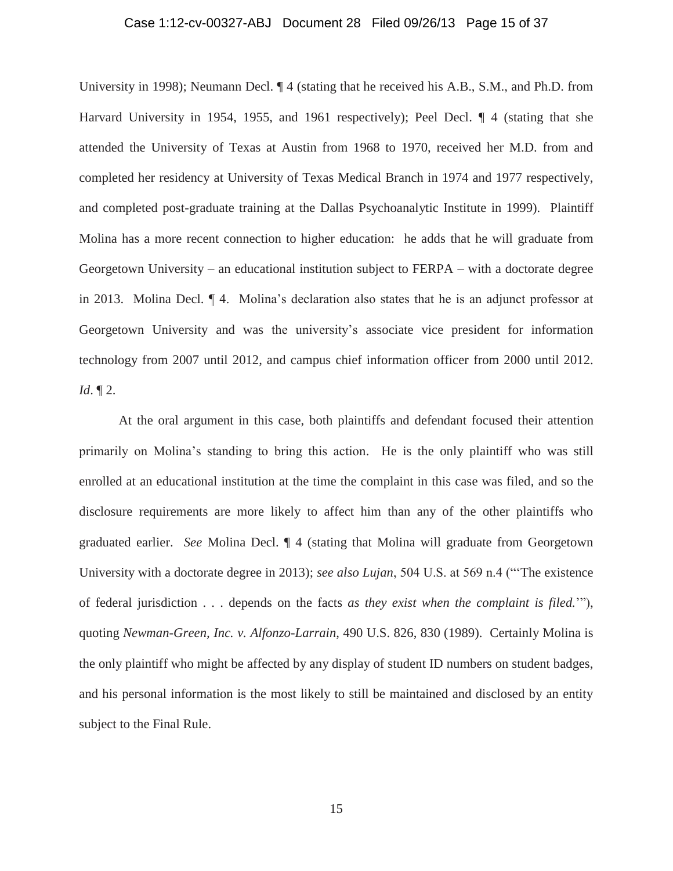#### Case 1:12-cv-00327-ABJ Document 28 Filed 09/26/13 Page 15 of 37

University in 1998); Neumann Decl. ¶ 4 (stating that he received his A.B., S.M., and Ph.D. from Harvard University in 1954, 1955, and 1961 respectively); Peel Decl. ¶ 4 (stating that she attended the University of Texas at Austin from 1968 to 1970, received her M.D. from and completed her residency at University of Texas Medical Branch in 1974 and 1977 respectively, and completed post-graduate training at the Dallas Psychoanalytic Institute in 1999). Plaintiff Molina has a more recent connection to higher education: he adds that he will graduate from Georgetown University – an educational institution subject to FERPA – with a doctorate degree in 2013. Molina Decl. ¶ 4. Molina's declaration also states that he is an adjunct professor at Georgetown University and was the university's associate vice president for information technology from 2007 until 2012, and campus chief information officer from 2000 until 2012. *Id*. ¶ 2.

At the oral argument in this case, both plaintiffs and defendant focused their attention primarily on Molina's standing to bring this action. He is the only plaintiff who was still enrolled at an educational institution at the time the complaint in this case was filed, and so the disclosure requirements are more likely to affect him than any of the other plaintiffs who graduated earlier. *See* Molina Decl. ¶ 4 (stating that Molina will graduate from Georgetown University with a doctorate degree in 2013); *see also Lujan*, 504 U.S. at 569 n.4 ("'The existence of federal jurisdiction . . . depends on the facts *as they exist when the complaint is filed.*'"), quoting *Newman-Green, Inc. v. Alfonzo-Larrain*, 490 U.S. 826, 830 (1989). Certainly Molina is the only plaintiff who might be affected by any display of student ID numbers on student badges, and his personal information is the most likely to still be maintained and disclosed by an entity subject to the Final Rule.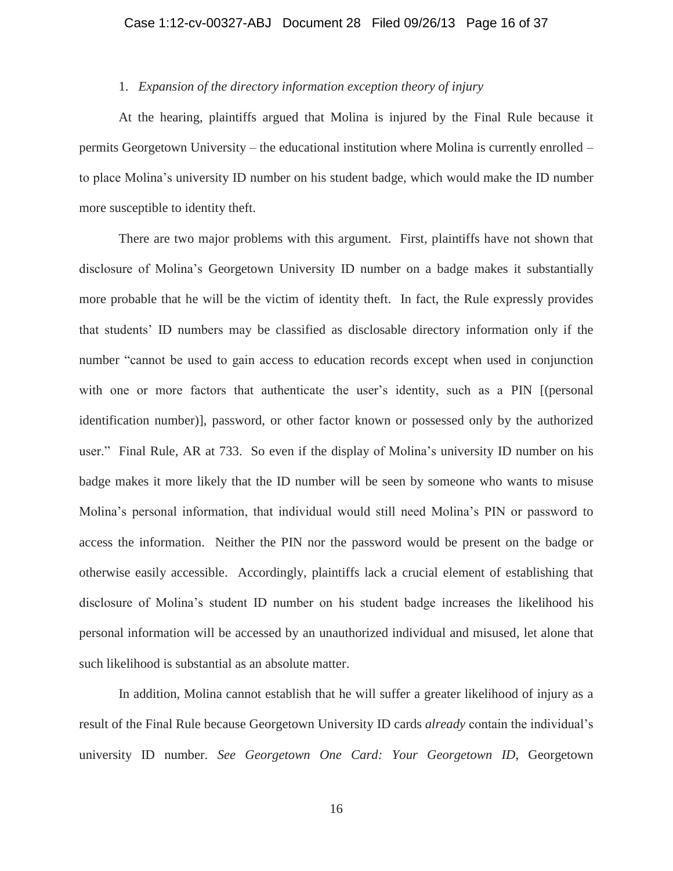# Case 1:12-cv-00327-ABJ Document 28 Filed 09/26/13 Page 16 of 37

# 1. *Expansion of the directory information exception theory of injury*

At the hearing, plaintiffs argued that Molina is injured by the Final Rule because it permits Georgetown University – the educational institution where Molina is currently enrolled – to place Molina's university ID number on his student badge, which would make the ID number more susceptible to identity theft.

There are two major problems with this argument. First, plaintiffs have not shown that disclosure of Molina's Georgetown University ID number on a badge makes it substantially more probable that he will be the victim of identity theft. In fact, the Rule expressly provides that students' ID numbers may be classified as disclosable directory information only if the number "cannot be used to gain access to education records except when used in conjunction with one or more factors that authenticate the user's identity, such as a PIN [(personal identification number)], password, or other factor known or possessed only by the authorized user." Final Rule, AR at 733. So even if the display of Molina's university ID number on his badge makes it more likely that the ID number will be seen by someone who wants to misuse Molina's personal information, that individual would still need Molina's PIN or password to access the information. Neither the PIN nor the password would be present on the badge or otherwise easily accessible. Accordingly, plaintiffs lack a crucial element of establishing that disclosure of Molina's student ID number on his student badge increases the likelihood his personal information will be accessed by an unauthorized individual and misused, let alone that such likelihood is substantial as an absolute matter.

In addition, Molina cannot establish that he will suffer a greater likelihood of injury as a result of the Final Rule because Georgetown University ID cards *already* contain the individual's university ID number. *See Georgetown One Card: Your Georgetown ID*, Georgetown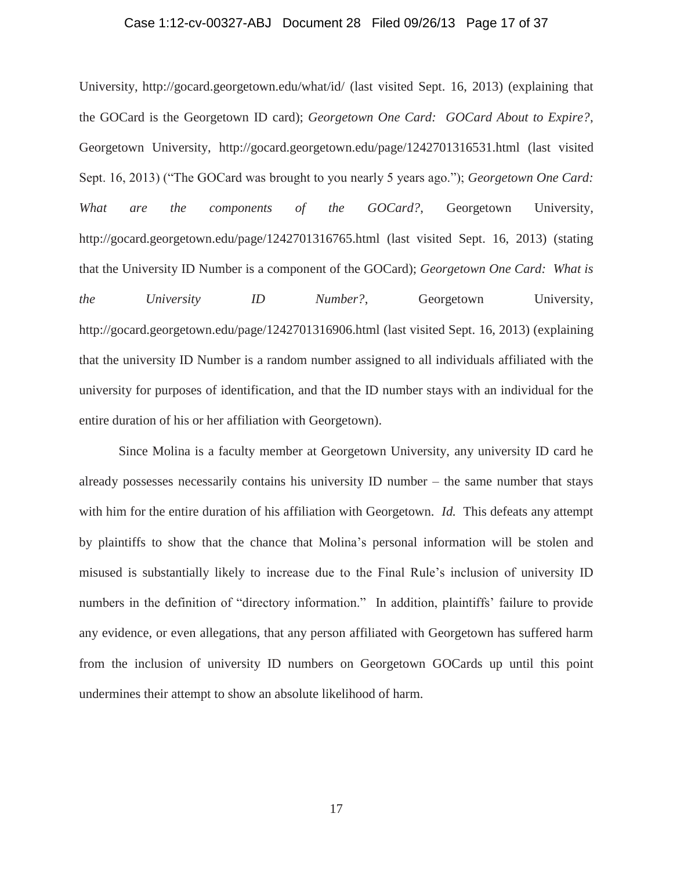#### Case 1:12-cv-00327-ABJ Document 28 Filed 09/26/13 Page 17 of 37

University, http://gocard.georgetown.edu/what/id/ (last visited Sept. 16, 2013) (explaining that the GOCard is the Georgetown ID card); *Georgetown One Card: GOCard About to Expire?*, Georgetown University, http://gocard.georgetown.edu/page/1242701316531.html (last visited Sept. 16, 2013) ("The GOCard was brought to you nearly 5 years ago."); *Georgetown One Card: What are the components of the GOCard?*, Georgetown University, http://gocard.georgetown.edu/page/1242701316765.html (last visited Sept. 16, 2013) (stating that the University ID Number is a component of the GOCard); *Georgetown One Card: What is the University ID Number?*, Georgetown University, http://gocard.georgetown.edu/page/1242701316906.html (last visited Sept. 16, 2013) (explaining that the university ID Number is a random number assigned to all individuals affiliated with the university for purposes of identification, and that the ID number stays with an individual for the entire duration of his or her affiliation with Georgetown).

Since Molina is a faculty member at Georgetown University, any university ID card he already possesses necessarily contains his university ID number – the same number that stays with him for the entire duration of his affiliation with Georgetown. *Id.* This defeats any attempt by plaintiffs to show that the chance that Molina's personal information will be stolen and misused is substantially likely to increase due to the Final Rule's inclusion of university ID numbers in the definition of "directory information." In addition, plaintiffs' failure to provide any evidence, or even allegations, that any person affiliated with Georgetown has suffered harm from the inclusion of university ID numbers on Georgetown GOCards up until this point undermines their attempt to show an absolute likelihood of harm.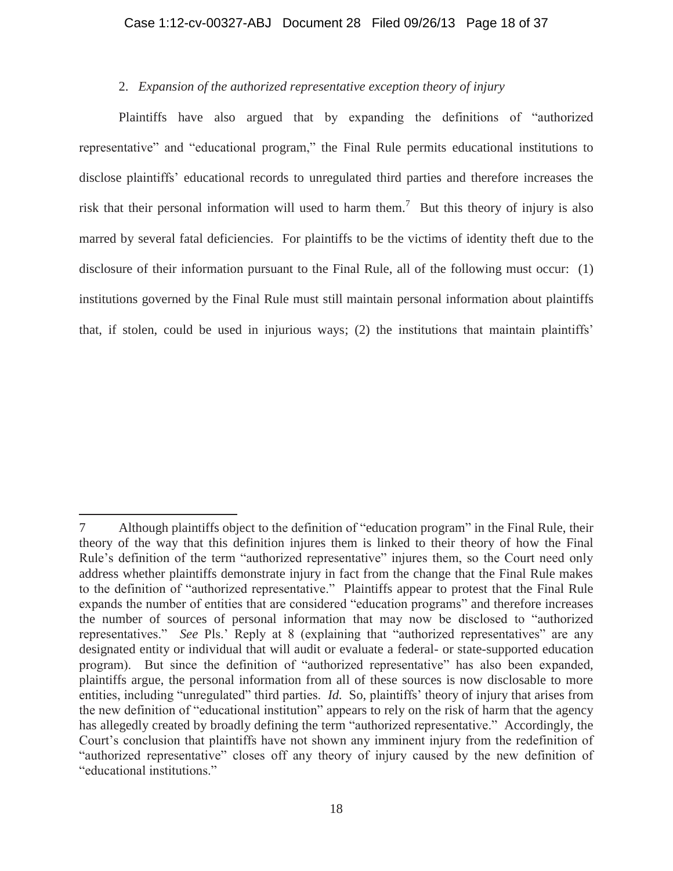### Case 1:12-cv-00327-ABJ Document 28 Filed 09/26/13 Page 18 of 37

# 2. *Expansion of the authorized representative exception theory of injury*

Plaintiffs have also argued that by expanding the definitions of "authorized representative" and "educational program," the Final Rule permits educational institutions to disclose plaintiffs' educational records to unregulated third parties and therefore increases the risk that their personal information will used to harm them.<sup>7</sup> But this theory of injury is also marred by several fatal deficiencies. For plaintiffs to be the victims of identity theft due to the disclosure of their information pursuant to the Final Rule, all of the following must occur: (1) institutions governed by the Final Rule must still maintain personal information about plaintiffs that, if stolen, could be used in injurious ways; (2) the institutions that maintain plaintiffs'

 $\overline{a}$ 7 Although plaintiffs object to the definition of "education program" in the Final Rule, their theory of the way that this definition injures them is linked to their theory of how the Final Rule's definition of the term "authorized representative" injures them, so the Court need only address whether plaintiffs demonstrate injury in fact from the change that the Final Rule makes to the definition of "authorized representative." Plaintiffs appear to protest that the Final Rule expands the number of entities that are considered "education programs" and therefore increases the number of sources of personal information that may now be disclosed to "authorized representatives." *See* Pls.' Reply at 8 (explaining that "authorized representatives" are any designated entity or individual that will audit or evaluate a federal- or state-supported education program). But since the definition of "authorized representative" has also been expanded, plaintiffs argue, the personal information from all of these sources is now disclosable to more entities, including "unregulated" third parties. *Id.* So, plaintiffs' theory of injury that arises from the new definition of "educational institution" appears to rely on the risk of harm that the agency has allegedly created by broadly defining the term "authorized representative." Accordingly, the Court's conclusion that plaintiffs have not shown any imminent injury from the redefinition of "authorized representative" closes off any theory of injury caused by the new definition of "educational institutions."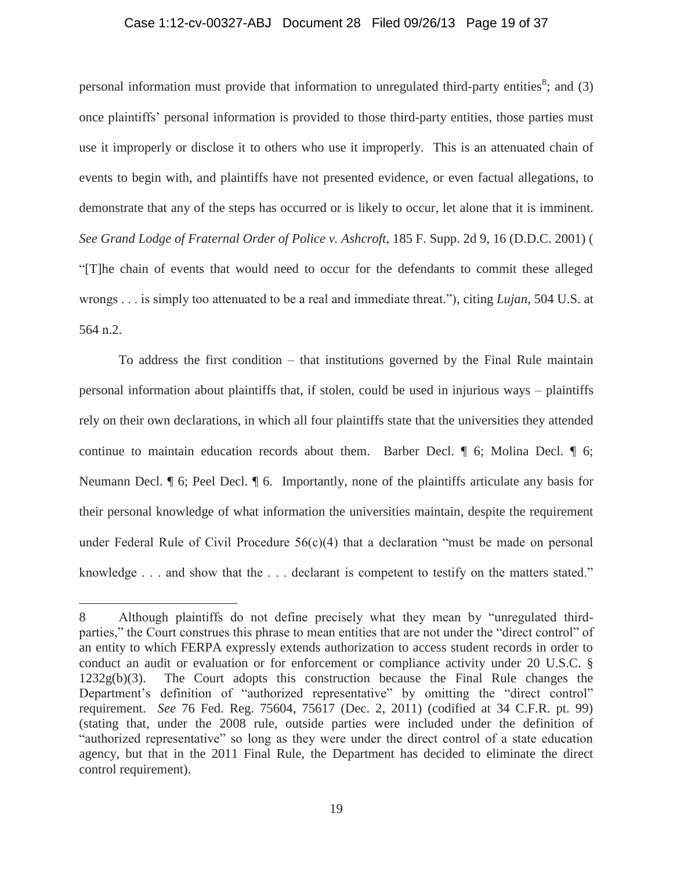### Case 1:12-cv-00327-ABJ Document 28 Filed 09/26/13 Page 19 of 37

personal information must provide that information to unregulated third-party entities<sup>8</sup>; and (3) once plaintiffs' personal information is provided to those third-party entities, those parties must use it improperly or disclose it to others who use it improperly. This is an attenuated chain of events to begin with, and plaintiffs have not presented evidence, or even factual allegations, to demonstrate that any of the steps has occurred or is likely to occur, let alone that it is imminent. *See Grand Lodge of Fraternal Order of Police v. Ashcroft*, 185 F. Supp. 2d 9, 16 (D.D.C. 2001) ( "[T]he chain of events that would need to occur for the defendants to commit these alleged wrongs . . . is simply too attenuated to be a real and immediate threat."), citing *Lujan*, 504 U.S. at 564 n.2.

To address the first condition – that institutions governed by the Final Rule maintain personal information about plaintiffs that, if stolen, could be used in injurious ways – plaintiffs rely on their own declarations, in which all four plaintiffs state that the universities they attended continue to maintain education records about them. Barber Decl. ¶ 6; Molina Decl. ¶ 6; Neumann Decl. ¶ 6; Peel Decl. ¶ 6. Importantly, none of the plaintiffs articulate any basis for their personal knowledge of what information the universities maintain, despite the requirement under Federal Rule of Civil Procedure 56(c)(4) that a declaration "must be made on personal knowledge . . . and show that the . . . declarant is competent to testify on the matters stated."

<sup>8</sup> Although plaintiffs do not define precisely what they mean by "unregulated thirdparties," the Court construes this phrase to mean entities that are not under the "direct control" of an entity to which FERPA expressly extends authorization to access student records in order to conduct an audit or evaluation or for enforcement or compliance activity under 20 U.S.C. § 1232g(b)(3). The Court adopts this construction because the Final Rule changes the Department's definition of "authorized representative" by omitting the "direct control" requirement. *See* 76 Fed. Reg. 75604, 75617 (Dec. 2, 2011) (codified at 34 C.F.R. pt. 99) (stating that, under the 2008 rule, outside parties were included under the definition of "authorized representative" so long as they were under the direct control of a state education agency, but that in the 2011 Final Rule, the Department has decided to eliminate the direct control requirement).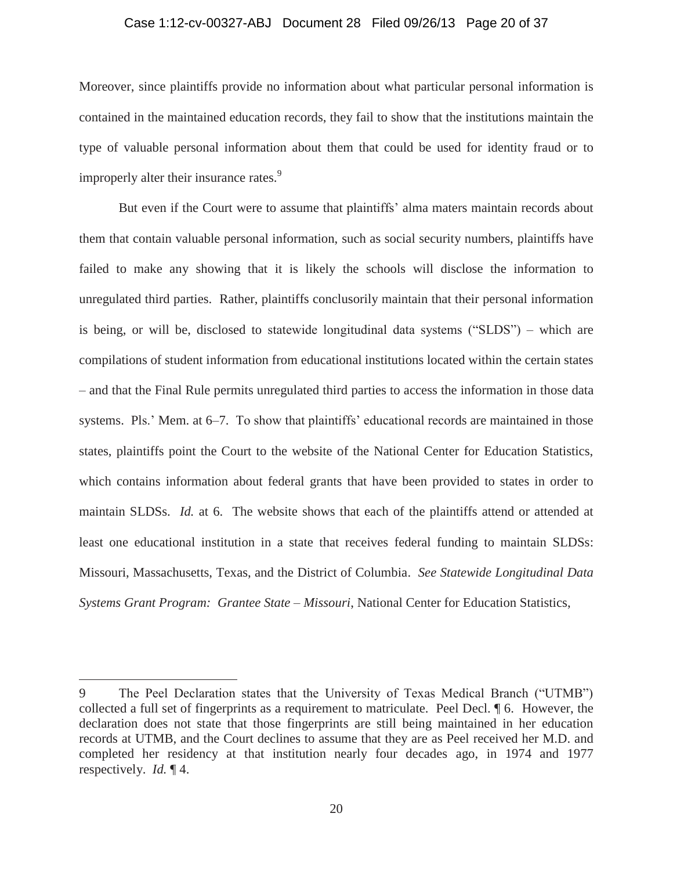#### Case 1:12-cv-00327-ABJ Document 28 Filed 09/26/13 Page 20 of 37

Moreover, since plaintiffs provide no information about what particular personal information is contained in the maintained education records, they fail to show that the institutions maintain the type of valuable personal information about them that could be used for identity fraud or to improperly alter their insurance rates.<sup>9</sup>

But even if the Court were to assume that plaintiffs' alma maters maintain records about them that contain valuable personal information, such as social security numbers, plaintiffs have failed to make any showing that it is likely the schools will disclose the information to unregulated third parties. Rather, plaintiffs conclusorily maintain that their personal information is being, or will be, disclosed to statewide longitudinal data systems ("SLDS") – which are compilations of student information from educational institutions located within the certain states – and that the Final Rule permits unregulated third parties to access the information in those data systems. Pls.' Mem. at 6–7. To show that plaintiffs' educational records are maintained in those states, plaintiffs point the Court to the website of the National Center for Education Statistics, which contains information about federal grants that have been provided to states in order to maintain SLDSs. *Id.* at 6. The website shows that each of the plaintiffs attend or attended at least one educational institution in a state that receives federal funding to maintain SLDSs: Missouri, Massachusetts, Texas, and the District of Columbia. *See Statewide Longitudinal Data Systems Grant Program: Grantee State – Missouri*, National Center for Education Statistics,

<sup>9</sup> The Peel Declaration states that the University of Texas Medical Branch ("UTMB") collected a full set of fingerprints as a requirement to matriculate. Peel Decl. ¶ 6. However, the declaration does not state that those fingerprints are still being maintained in her education records at UTMB, and the Court declines to assume that they are as Peel received her M.D. and completed her residency at that institution nearly four decades ago, in 1974 and 1977 respectively. *Id.* ¶ 4.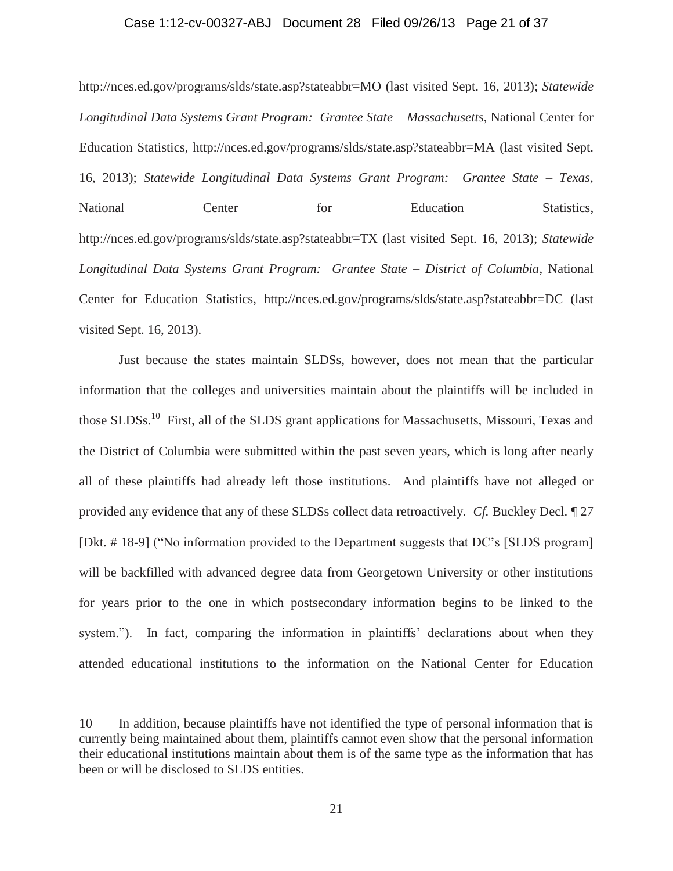#### Case 1:12-cv-00327-ABJ Document 28 Filed 09/26/13 Page 21 of 37

http://nces.ed.gov/programs/slds/state.asp?stateabbr=MO (last visited Sept. 16, 2013); *Statewide*  Longitudinal Data Systems Grant Program: Grantee State – Massachusetts, National Center for Education Statistics, http://nces.ed.gov/programs/slds/state.asp?stateabbr=MA (last visited Sept. 16, 2013); *Statewide Longitudinal Data Systems Grant Program: Grantee State – Texas*, National Center for Education Statistics, http://nces.ed.gov/programs/slds/state.asp?stateabbr=TX (last visited Sept. 16, 2013); *Statewide Longitudinal Data Systems Grant Program: Grantee State – District of Columbia*, National Center for Education Statistics, http://nces.ed.gov/programs/slds/state.asp?stateabbr=DC (last visited Sept. 16, 2013).

Just because the states maintain SLDSs, however, does not mean that the particular information that the colleges and universities maintain about the plaintiffs will be included in those SLDSs.<sup>10</sup> First, all of the SLDS grant applications for Massachusetts, Missouri, Texas and the District of Columbia were submitted within the past seven years, which is long after nearly all of these plaintiffs had already left those institutions. And plaintiffs have not alleged or provided any evidence that any of these SLDSs collect data retroactively. *Cf.* Buckley Decl. ¶ 27 [Dkt. # 18-9] ("No information provided to the Department suggests that DC's [SLDS program] will be backfilled with advanced degree data from Georgetown University or other institutions for years prior to the one in which postsecondary information begins to be linked to the system."). In fact, comparing the information in plaintiffs' declarations about when they attended educational institutions to the information on the National Center for Education

<sup>10</sup> In addition, because plaintiffs have not identified the type of personal information that is currently being maintained about them, plaintiffs cannot even show that the personal information their educational institutions maintain about them is of the same type as the information that has been or will be disclosed to SLDS entities.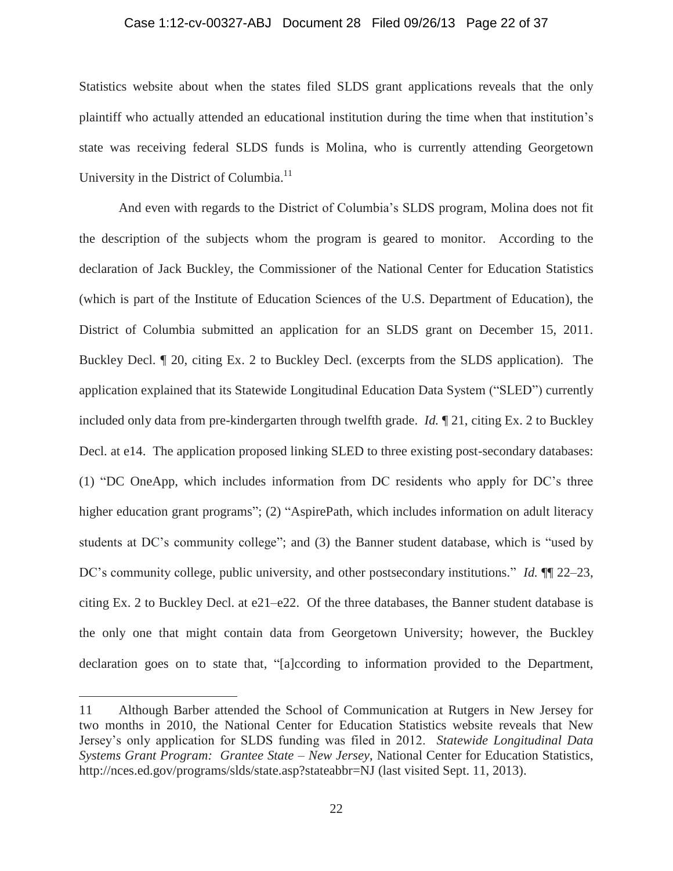#### Case 1:12-cv-00327-ABJ Document 28 Filed 09/26/13 Page 22 of 37

Statistics website about when the states filed SLDS grant applications reveals that the only plaintiff who actually attended an educational institution during the time when that institution's state was receiving federal SLDS funds is Molina, who is currently attending Georgetown University in the District of Columbia.<sup>11</sup>

And even with regards to the District of Columbia's SLDS program, Molina does not fit the description of the subjects whom the program is geared to monitor. According to the declaration of Jack Buckley, the Commissioner of the National Center for Education Statistics (which is part of the Institute of Education Sciences of the U.S. Department of Education), the District of Columbia submitted an application for an SLDS grant on December 15, 2011. Buckley Decl. ¶ 20, citing Ex. 2 to Buckley Decl. (excerpts from the SLDS application). The application explained that its Statewide Longitudinal Education Data System ("SLED") currently included only data from pre-kindergarten through twelfth grade. *Id.* ¶ 21, citing Ex. 2 to Buckley Decl. at e14. The application proposed linking SLED to three existing post-secondary databases: (1) "DC OneApp, which includes information from DC residents who apply for DC's three higher education grant programs"; (2) "AspirePath, which includes information on adult literacy students at DC's community college"; and (3) the Banner student database, which is "used by DC's community college, public university, and other postsecondary institutions." *Id.* ¶¶ 22–23, citing Ex. 2 to Buckley Decl. at e21–e22. Of the three databases, the Banner student database is the only one that might contain data from Georgetown University; however, the Buckley declaration goes on to state that, "[a]ccording to information provided to the Department,

<sup>11</sup> Although Barber attended the School of Communication at Rutgers in New Jersey for two months in 2010, the National Center for Education Statistics website reveals that New Jersey's only application for SLDS funding was filed in 2012. *Statewide Longitudinal Data Systems Grant Program: Grantee State – New Jersey*, National Center for Education Statistics, http://nces.ed.gov/programs/slds/state.asp?stateabbr=NJ (last visited Sept. 11, 2013).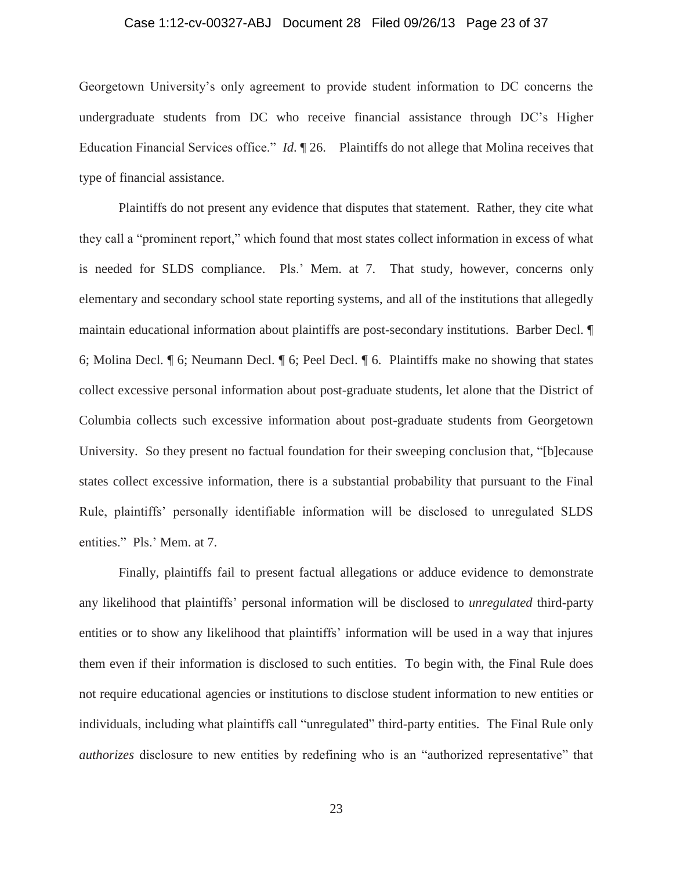# Case 1:12-cv-00327-ABJ Document 28 Filed 09/26/13 Page 23 of 37

Georgetown University's only agreement to provide student information to DC concerns the undergraduate students from DC who receive financial assistance through DC's Higher Education Financial Services office." *Id*. ¶ 26. Plaintiffs do not allege that Molina receives that type of financial assistance.

Plaintiffs do not present any evidence that disputes that statement. Rather, they cite what they call a "prominent report," which found that most states collect information in excess of what is needed for SLDS compliance. Pls.' Mem. at 7. That study, however, concerns only elementary and secondary school state reporting systems, and all of the institutions that allegedly maintain educational information about plaintiffs are post-secondary institutions. Barber Decl. ¶ 6; Molina Decl. ¶ 6; Neumann Decl. ¶ 6; Peel Decl. ¶ 6. Plaintiffs make no showing that states collect excessive personal information about post-graduate students, let alone that the District of Columbia collects such excessive information about post-graduate students from Georgetown University. So they present no factual foundation for their sweeping conclusion that, "[b]ecause states collect excessive information, there is a substantial probability that pursuant to the Final Rule, plaintiffs' personally identifiable information will be disclosed to unregulated SLDS entities." Pls.' Mem. at 7.

Finally, plaintiffs fail to present factual allegations or adduce evidence to demonstrate any likelihood that plaintiffs' personal information will be disclosed to *unregulated* third-party entities or to show any likelihood that plaintiffs' information will be used in a way that injures them even if their information is disclosed to such entities. To begin with, the Final Rule does not require educational agencies or institutions to disclose student information to new entities or individuals, including what plaintiffs call "unregulated" third-party entities. The Final Rule only *authorizes* disclosure to new entities by redefining who is an "authorized representative" that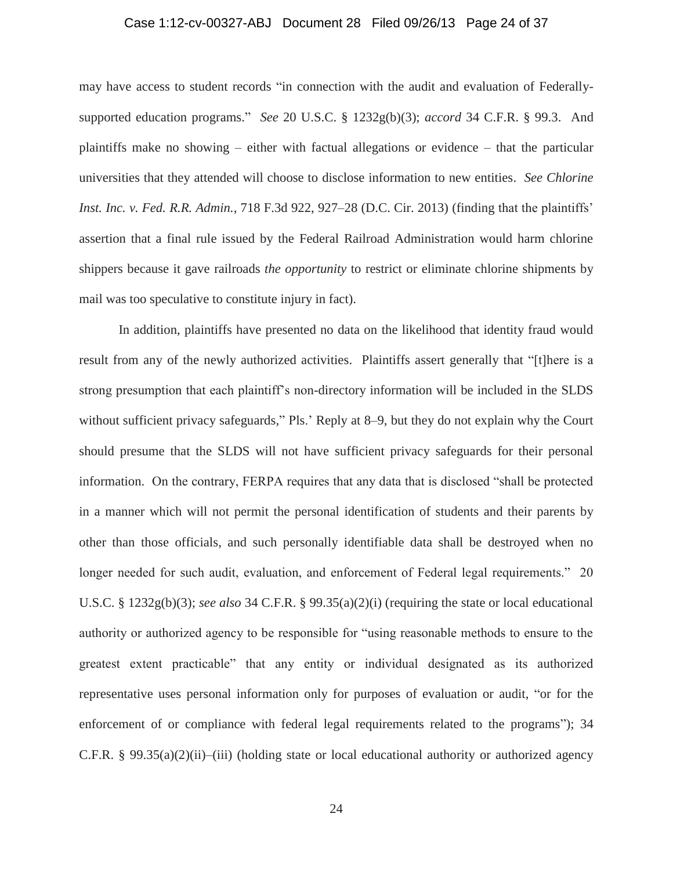# Case 1:12-cv-00327-ABJ Document 28 Filed 09/26/13 Page 24 of 37

may have access to student records "in connection with the audit and evaluation of Federallysupported education programs." *See* 20 U.S.C. § 1232g(b)(3); *accord* 34 C.F.R. § 99.3. And plaintiffs make no showing – either with factual allegations or evidence – that the particular universities that they attended will choose to disclose information to new entities. *See Chlorine Inst. Inc. v. Fed. R.R. Admin.*, 718 F.3d 922, 927–28 (D.C. Cir. 2013) (finding that the plaintiffs' assertion that a final rule issued by the Federal Railroad Administration would harm chlorine shippers because it gave railroads *the opportunity* to restrict or eliminate chlorine shipments by mail was too speculative to constitute injury in fact).

In addition, plaintiffs have presented no data on the likelihood that identity fraud would result from any of the newly authorized activities. Plaintiffs assert generally that "[t]here is a strong presumption that each plaintiff's non-directory information will be included in the SLDS without sufficient privacy safeguards," Pls.' Reply at 8–9, but they do not explain why the Court should presume that the SLDS will not have sufficient privacy safeguards for their personal information. On the contrary, FERPA requires that any data that is disclosed "shall be protected in a manner which will not permit the personal identification of students and their parents by other than those officials, and such personally identifiable data shall be destroyed when no longer needed for such audit, evaluation, and enforcement of Federal legal requirements." 20 U.S.C. § 1232g(b)(3); *see also* 34 C.F.R. § 99.35(a)(2)(i) (requiring the state or local educational authority or authorized agency to be responsible for "using reasonable methods to ensure to the greatest extent practicable" that any entity or individual designated as its authorized representative uses personal information only for purposes of evaluation or audit, "or for the enforcement of or compliance with federal legal requirements related to the programs"); 34 C.F.R. §  $99.35(a)(2)(ii)$ –(iii) (holding state or local educational authority or authorized agency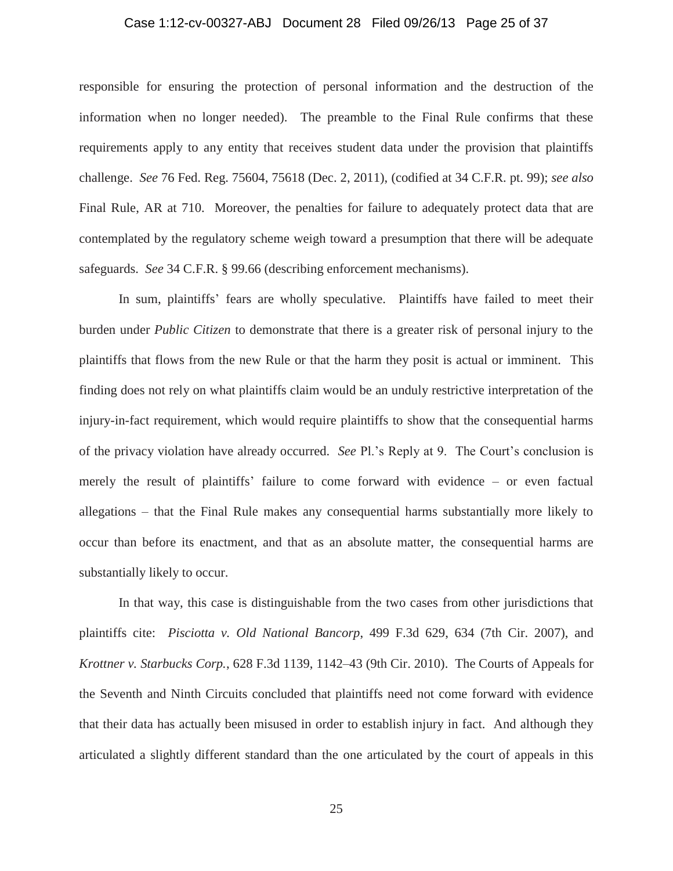# Case 1:12-cv-00327-ABJ Document 28 Filed 09/26/13 Page 25 of 37

responsible for ensuring the protection of personal information and the destruction of the information when no longer needed). The preamble to the Final Rule confirms that these requirements apply to any entity that receives student data under the provision that plaintiffs challenge. *See* 76 Fed. Reg. 75604, 75618 (Dec. 2, 2011), (codified at 34 C.F.R. pt. 99); *see also*  Final Rule, AR at 710. Moreover, the penalties for failure to adequately protect data that are contemplated by the regulatory scheme weigh toward a presumption that there will be adequate safeguards. *See* 34 C.F.R. § 99.66 (describing enforcement mechanisms).

In sum, plaintiffs' fears are wholly speculative. Plaintiffs have failed to meet their burden under *Public Citizen* to demonstrate that there is a greater risk of personal injury to the plaintiffs that flows from the new Rule or that the harm they posit is actual or imminent. This finding does not rely on what plaintiffs claim would be an unduly restrictive interpretation of the injury-in-fact requirement, which would require plaintiffs to show that the consequential harms of the privacy violation have already occurred. *See* Pl.'s Reply at 9. The Court's conclusion is merely the result of plaintiffs' failure to come forward with evidence – or even factual allegations – that the Final Rule makes any consequential harms substantially more likely to occur than before its enactment, and that as an absolute matter, the consequential harms are substantially likely to occur.

In that way, this case is distinguishable from the two cases from other jurisdictions that plaintiffs cite: *Pisciotta v. Old National Bancorp*, 499 F.3d 629, 634 (7th Cir. 2007), and *Krottner v. Starbucks Corp.*, 628 F.3d 1139, 1142–43 (9th Cir. 2010). The Courts of Appeals for the Seventh and Ninth Circuits concluded that plaintiffs need not come forward with evidence that their data has actually been misused in order to establish injury in fact. And although they articulated a slightly different standard than the one articulated by the court of appeals in this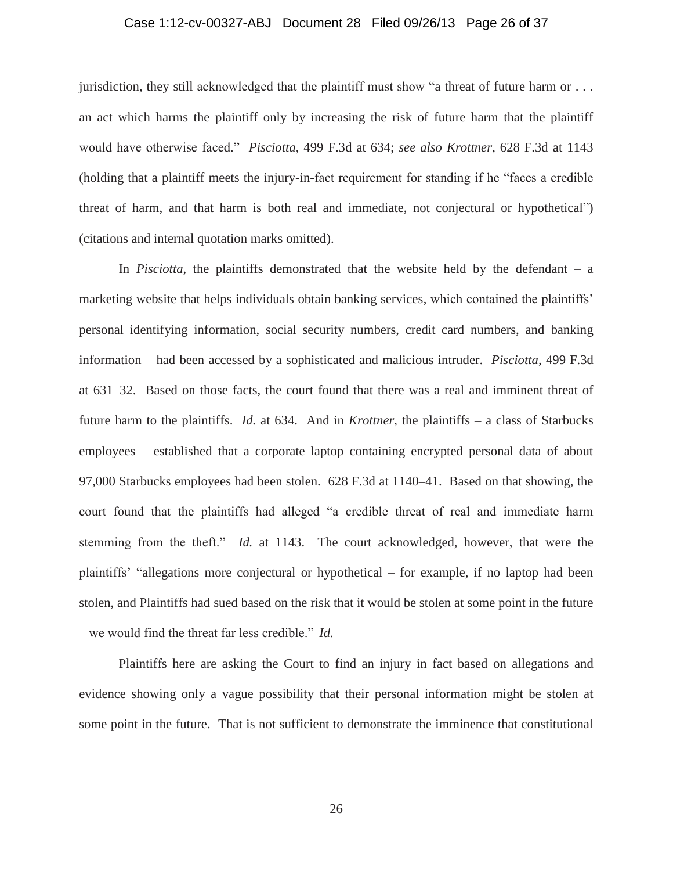# Case 1:12-cv-00327-ABJ Document 28 Filed 09/26/13 Page 26 of 37

jurisdiction, they still acknowledged that the plaintiff must show "a threat of future harm or . . . an act which harms the plaintiff only by increasing the risk of future harm that the plaintiff would have otherwise faced." *Pisciotta*, 499 F.3d at 634; *see also Krottner*, 628 F.3d at 1143 (holding that a plaintiff meets the injury-in-fact requirement for standing if he "faces a credible threat of harm, and that harm is both real and immediate, not conjectural or hypothetical") (citations and internal quotation marks omitted).

In *Pisciotta*, the plaintiffs demonstrated that the website held by the defendant – a marketing website that helps individuals obtain banking services, which contained the plaintiffs' personal identifying information, social security numbers, credit card numbers, and banking information – had been accessed by a sophisticated and malicious intruder. *Pisciotta*, 499 F.3d at 631–32. Based on those facts, the court found that there was a real and imminent threat of future harm to the plaintiffs. *Id.* at 634. And in *Krottner*, the plaintiffs – a class of Starbucks employees – established that a corporate laptop containing encrypted personal data of about 97,000 Starbucks employees had been stolen. 628 F.3d at 1140–41. Based on that showing, the court found that the plaintiffs had alleged "a credible threat of real and immediate harm stemming from the theft." *Id.* at 1143. The court acknowledged, however, that were the plaintiffs' "allegations more conjectural or hypothetical – for example, if no laptop had been stolen, and Plaintiffs had sued based on the risk that it would be stolen at some point in the future – we would find the threat far less credible." *Id.*

Plaintiffs here are asking the Court to find an injury in fact based on allegations and evidence showing only a vague possibility that their personal information might be stolen at some point in the future. That is not sufficient to demonstrate the imminence that constitutional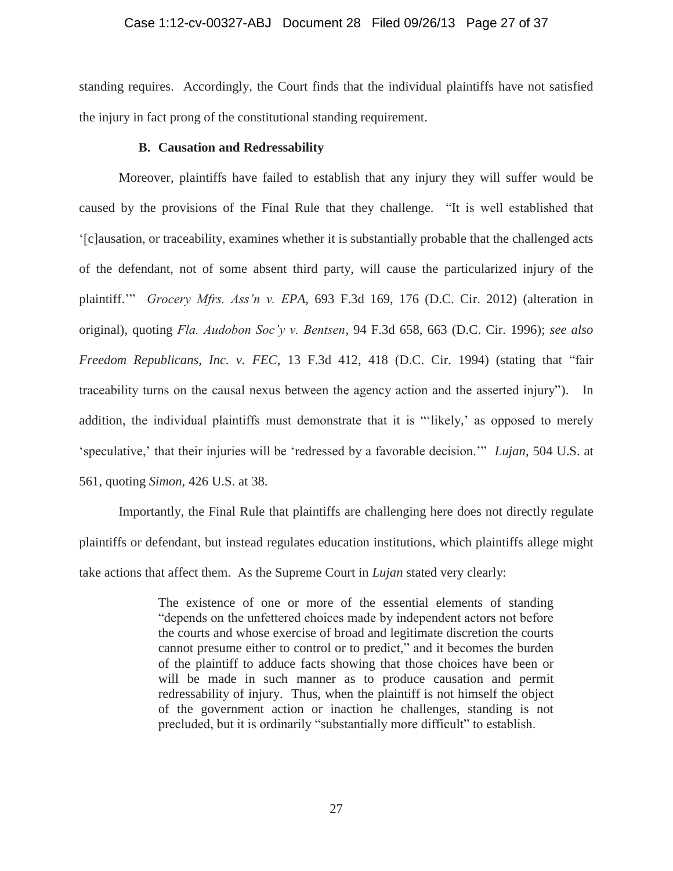# Case 1:12-cv-00327-ABJ Document 28 Filed 09/26/13 Page 27 of 37

standing requires. Accordingly, the Court finds that the individual plaintiffs have not satisfied the injury in fact prong of the constitutional standing requirement.

# **B. Causation and Redressability**

Moreover, plaintiffs have failed to establish that any injury they will suffer would be caused by the provisions of the Final Rule that they challenge. "It is well established that '[c]ausation, or traceability, examines whether it is substantially probable that the challenged acts of the defendant, not of some absent third party, will cause the particularized injury of the plaintiff.'" *Grocery Mfrs. Ass'n v. EPA*, 693 F.3d 169, 176 (D.C. Cir. 2012) (alteration in original), quoting *Fla. Audobon Soc'y v. Bentsen*, 94 F.3d 658, 663 (D.C. Cir. 1996); *see also Freedom Republicans, Inc. v. FEC*, 13 F.3d 412, 418 (D.C. Cir. 1994) (stating that "fair traceability turns on the causal nexus between the agency action and the asserted injury"). In addition, the individual plaintiffs must demonstrate that it is "'likely,' as opposed to merely 'speculative,' that their injuries will be 'redressed by a favorable decision.'" *Lujan*, 504 U.S. at 561, quoting *Simon*, 426 U.S. at 38.

Importantly, the Final Rule that plaintiffs are challenging here does not directly regulate plaintiffs or defendant, but instead regulates education institutions, which plaintiffs allege might take actions that affect them. As the Supreme Court in *Lujan* stated very clearly:

> The existence of one or more of the essential elements of standing "depends on the unfettered choices made by independent actors not before the courts and whose exercise of broad and legitimate discretion the courts cannot presume either to control or to predict," and it becomes the burden of the plaintiff to adduce facts showing that those choices have been or will be made in such manner as to produce causation and permit redressability of injury. Thus, when the plaintiff is not himself the object of the government action or inaction he challenges, standing is not precluded, but it is ordinarily "substantially more difficult" to establish.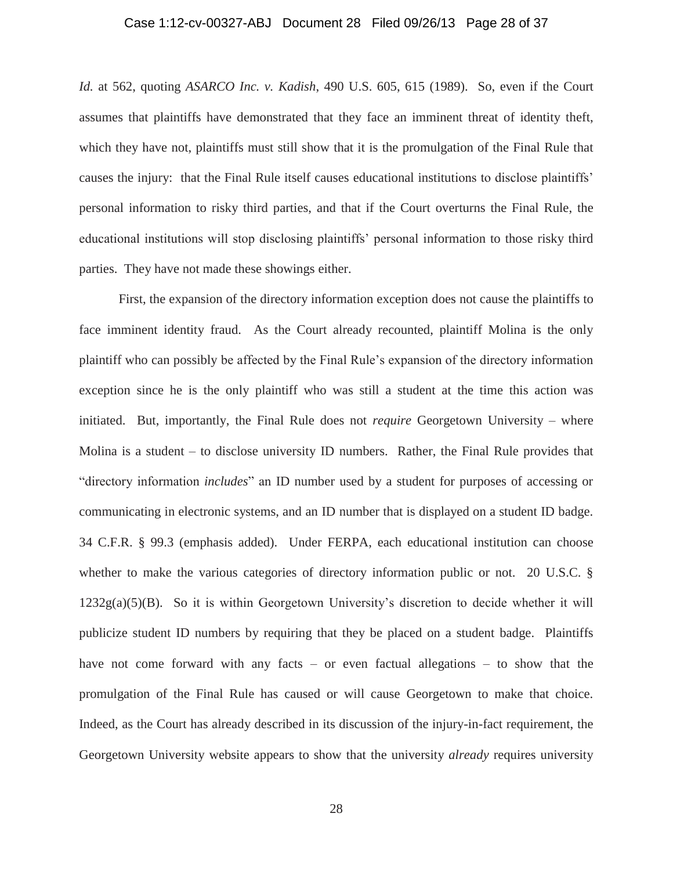# Case 1:12-cv-00327-ABJ Document 28 Filed 09/26/13 Page 28 of 37

*Id.* at 562, quoting *ASARCO Inc. v. Kadish*, 490 U.S. 605, 615 (1989). So, even if the Court assumes that plaintiffs have demonstrated that they face an imminent threat of identity theft, which they have not, plaintiffs must still show that it is the promulgation of the Final Rule that causes the injury: that the Final Rule itself causes educational institutions to disclose plaintiffs' personal information to risky third parties, and that if the Court overturns the Final Rule, the educational institutions will stop disclosing plaintiffs' personal information to those risky third parties. They have not made these showings either.

First, the expansion of the directory information exception does not cause the plaintiffs to face imminent identity fraud. As the Court already recounted, plaintiff Molina is the only plaintiff who can possibly be affected by the Final Rule's expansion of the directory information exception since he is the only plaintiff who was still a student at the time this action was initiated. But, importantly, the Final Rule does not *require* Georgetown University – where Molina is a student – to disclose university ID numbers. Rather, the Final Rule provides that "directory information *includes*" an ID number used by a student for purposes of accessing or communicating in electronic systems, and an ID number that is displayed on a student ID badge. 34 C.F.R. § 99.3 (emphasis added). Under FERPA, each educational institution can choose whether to make the various categories of directory information public or not. 20 U.S.C. §  $1232g(a)(5)(B)$ . So it is within Georgetown University's discretion to decide whether it will publicize student ID numbers by requiring that they be placed on a student badge. Plaintiffs have not come forward with any facts – or even factual allegations – to show that the promulgation of the Final Rule has caused or will cause Georgetown to make that choice. Indeed, as the Court has already described in its discussion of the injury-in-fact requirement, the Georgetown University website appears to show that the university *already* requires university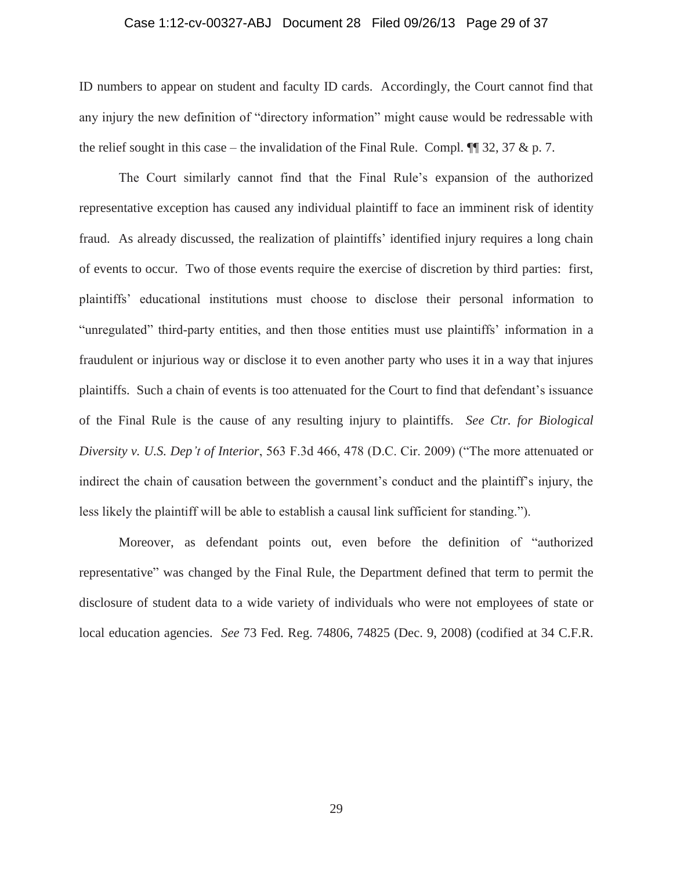# Case 1:12-cv-00327-ABJ Document 28 Filed 09/26/13 Page 29 of 37

ID numbers to appear on student and faculty ID cards. Accordingly, the Court cannot find that any injury the new definition of "directory information" might cause would be redressable with the relief sought in this case – the invalidation of the Final Rule. Compl.  $\P$  32, 37 & p. 7.

The Court similarly cannot find that the Final Rule's expansion of the authorized representative exception has caused any individual plaintiff to face an imminent risk of identity fraud. As already discussed, the realization of plaintiffs' identified injury requires a long chain of events to occur. Two of those events require the exercise of discretion by third parties: first, plaintiffs' educational institutions must choose to disclose their personal information to "unregulated" third-party entities, and then those entities must use plaintiffs' information in a fraudulent or injurious way or disclose it to even another party who uses it in a way that injures plaintiffs. Such a chain of events is too attenuated for the Court to find that defendant's issuance of the Final Rule is the cause of any resulting injury to plaintiffs. *See Ctr. for Biological Diversity v. U.S. Dep't of Interior*, 563 F.3d 466, 478 (D.C. Cir. 2009) ("The more attenuated or indirect the chain of causation between the government's conduct and the plaintiff's injury, the less likely the plaintiff will be able to establish a causal link sufficient for standing.").

Moreover, as defendant points out, even before the definition of "authorized representative" was changed by the Final Rule, the Department defined that term to permit the disclosure of student data to a wide variety of individuals who were not employees of state or local education agencies. *See* 73 Fed. Reg. 74806, 74825 (Dec. 9, 2008) (codified at 34 C.F.R.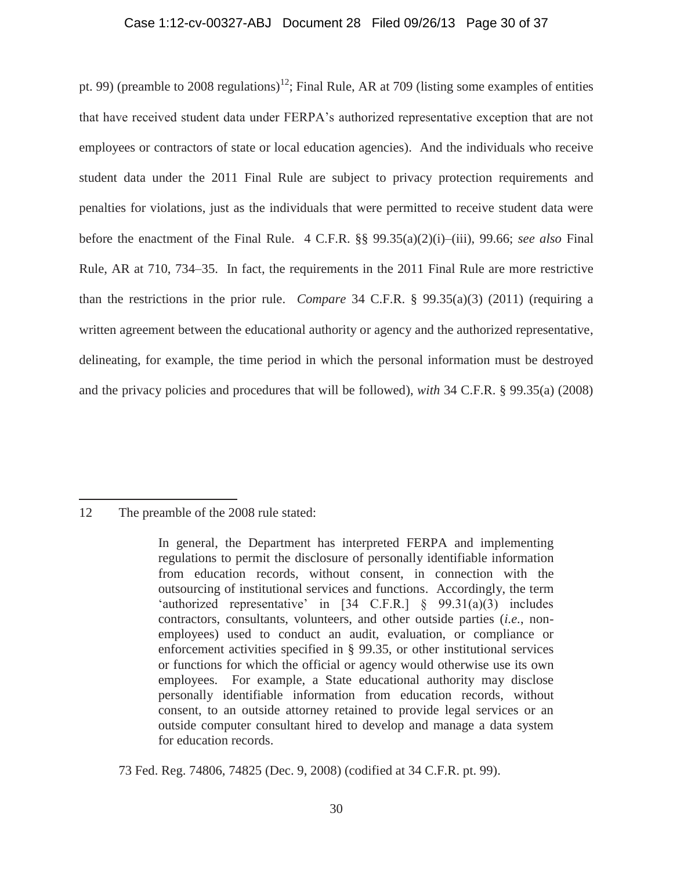### Case 1:12-cv-00327-ABJ Document 28 Filed 09/26/13 Page 30 of 37

pt. 99) (preamble to 2008 regulations)<sup>12</sup>; Final Rule, AR at 709 (listing some examples of entities that have received student data under FERPA's authorized representative exception that are not employees or contractors of state or local education agencies). And the individuals who receive student data under the 2011 Final Rule are subject to privacy protection requirements and penalties for violations, just as the individuals that were permitted to receive student data were before the enactment of the Final Rule. 4 C.F.R. §§ 99.35(a)(2)(i)–(iii), 99.66; *see also* Final Rule, AR at 710, 734–35. In fact, the requirements in the 2011 Final Rule are more restrictive than the restrictions in the prior rule. *Compare* 34 C.F.R. § 99.35(a)(3) (2011) (requiring a written agreement between the educational authority or agency and the authorized representative, delineating, for example, the time period in which the personal information must be destroyed and the privacy policies and procedures that will be followed), *with* 34 C.F.R. § 99.35(a) (2008)

 $\overline{a}$ 

73 Fed. Reg. 74806, 74825 (Dec. 9, 2008) (codified at 34 C.F.R. pt. 99).

<sup>12</sup> The preamble of the 2008 rule stated:

In general, the Department has interpreted FERPA and implementing regulations to permit the disclosure of personally identifiable information from education records, without consent, in connection with the outsourcing of institutional services and functions. Accordingly, the term 'authorized representative' in [34 C.F.R.] § 99.31(a)(3) includes contractors, consultants, volunteers, and other outside parties (*i.e.*, nonemployees) used to conduct an audit, evaluation, or compliance or enforcement activities specified in § 99.35, or other institutional services or functions for which the official or agency would otherwise use its own employees. For example, a State educational authority may disclose personally identifiable information from education records, without consent, to an outside attorney retained to provide legal services or an outside computer consultant hired to develop and manage a data system for education records.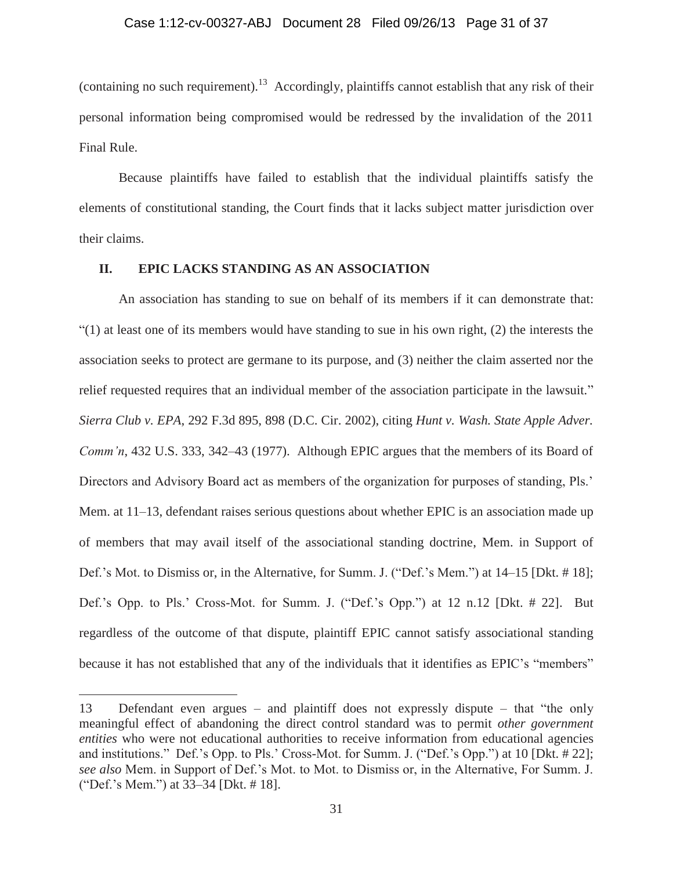# Case 1:12-cv-00327-ABJ Document 28 Filed 09/26/13 Page 31 of 37

(containing no such requirement).<sup>13</sup> Accordingly, plaintiffs cannot establish that any risk of their personal information being compromised would be redressed by the invalidation of the 2011 Final Rule.

Because plaintiffs have failed to establish that the individual plaintiffs satisfy the elements of constitutional standing, the Court finds that it lacks subject matter jurisdiction over their claims.

# **II. EPIC LACKS STANDING AS AN ASSOCIATION**

An association has standing to sue on behalf of its members if it can demonstrate that:  $(1)$  at least one of its members would have standing to sue in his own right,  $(2)$  the interests the association seeks to protect are germane to its purpose, and (3) neither the claim asserted nor the relief requested requires that an individual member of the association participate in the lawsuit." *Sierra Club v. EPA*, 292 F.3d 895, 898 (D.C. Cir. 2002), citing *Hunt v. Wash. State Apple Adver. Comm'n*, 432 U.S. 333, 342–43 (1977). Although EPIC argues that the members of its Board of Directors and Advisory Board act as members of the organization for purposes of standing, Pls.' Mem. at 11–13, defendant raises serious questions about whether EPIC is an association made up of members that may avail itself of the associational standing doctrine, Mem. in Support of Def.'s Mot. to Dismiss or, in the Alternative, for Summ. J. ("Def.'s Mem.") at 14–15 [Dkt. # 18]; Def.'s Opp. to Pls.' Cross-Mot. for Summ. J. ("Def.'s Opp.") at 12 n.12 [Dkt. # 22]. But regardless of the outcome of that dispute, plaintiff EPIC cannot satisfy associational standing because it has not established that any of the individuals that it identifies as EPIC's "members"

<sup>13</sup> Defendant even argues – and plaintiff does not expressly dispute – that "the only meaningful effect of abandoning the direct control standard was to permit *other government entities* who were not educational authorities to receive information from educational agencies and institutions." Def.'s Opp. to Pls.' Cross-Mot. for Summ. J. ("Def.'s Opp.") at 10 [Dkt. # 22]; *see also* Mem. in Support of Def.'s Mot. to Mot. to Dismiss or, in the Alternative, For Summ. J. ("Def.'s Mem.") at 33–34 [Dkt. # 18].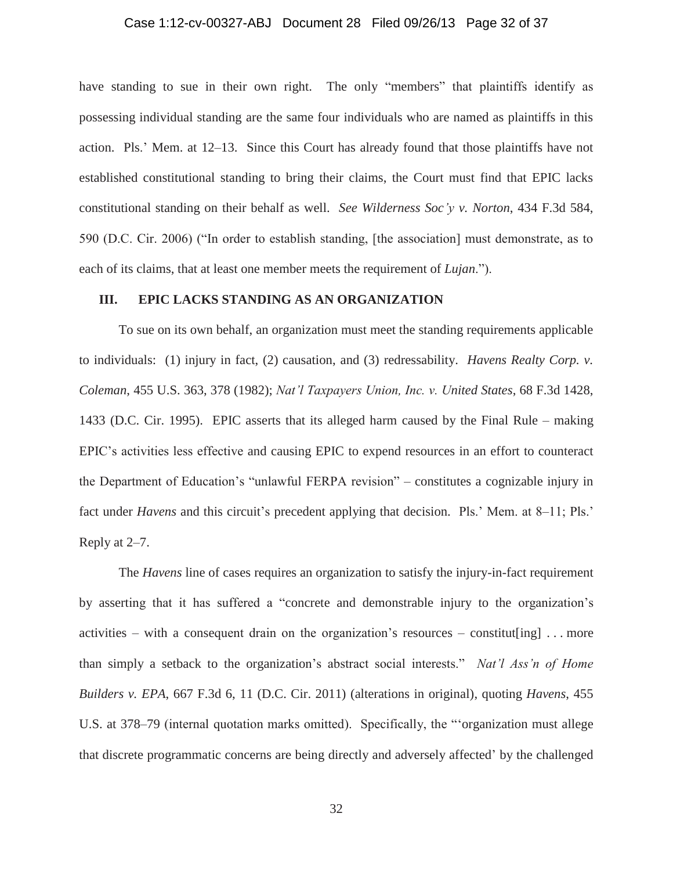#### Case 1:12-cv-00327-ABJ Document 28 Filed 09/26/13 Page 32 of 37

have standing to sue in their own right. The only "members" that plaintiffs identify as possessing individual standing are the same four individuals who are named as plaintiffs in this action. Pls.' Mem. at 12–13. Since this Court has already found that those plaintiffs have not established constitutional standing to bring their claims, the Court must find that EPIC lacks constitutional standing on their behalf as well. *See Wilderness Soc'y v. Norton*, 434 F.3d 584, 590 (D.C. Cir. 2006) ("In order to establish standing, [the association] must demonstrate, as to each of its claims, that at least one member meets the requirement of *Lujan*.").

# **III. EPIC LACKS STANDING AS AN ORGANIZATION**

To sue on its own behalf, an organization must meet the standing requirements applicable to individuals: (1) injury in fact, (2) causation, and (3) redressability. *Havens Realty Corp. v. Coleman*, 455 U.S. 363, 378 (1982); *Nat'l Taxpayers Union, Inc. v. United States*, 68 F.3d 1428, 1433 (D.C. Cir. 1995). EPIC asserts that its alleged harm caused by the Final Rule – making EPIC's activities less effective and causing EPIC to expend resources in an effort to counteract the Department of Education's "unlawful FERPA revision" – constitutes a cognizable injury in fact under *Havens* and this circuit's precedent applying that decision. Pls.' Mem. at 8–11; Pls.' Reply at 2–7.

The *Havens* line of cases requires an organization to satisfy the injury-in-fact requirement by asserting that it has suffered a "concrete and demonstrable injury to the organization's activities – with a consequent drain on the organization's resources – constitutently  $\ldots$  more than simply a setback to the organization's abstract social interests." *Nat'l Ass'n of Home Builders v. EPA*, 667 F.3d 6, 11 (D.C. Cir. 2011) (alterations in original), quoting *Havens*, 455 U.S. at 378–79 (internal quotation marks omitted). Specifically, the "'organization must allege that discrete programmatic concerns are being directly and adversely affected' by the challenged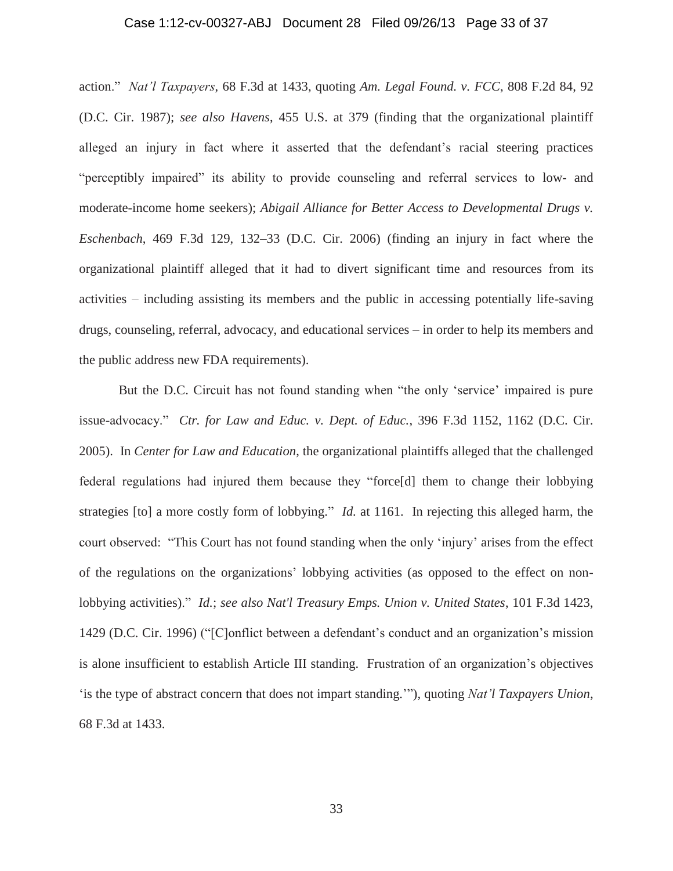# Case 1:12-cv-00327-ABJ Document 28 Filed 09/26/13 Page 33 of 37

action." *Nat'l Taxpayers*, 68 F.3d at 1433, quoting *Am. Legal Found. v. FCC*, 808 F.2d 84, 92 (D.C. Cir. 1987); *see also Havens*, 455 U.S. at 379 (finding that the organizational plaintiff alleged an injury in fact where it asserted that the defendant's racial steering practices "perceptibly impaired" its ability to provide counseling and referral services to low- and moderate-income home seekers); *Abigail Alliance for Better Access to Developmental Drugs v. Eschenbach*, 469 F.3d 129, 132–33 (D.C. Cir. 2006) (finding an injury in fact where the organizational plaintiff alleged that it had to divert significant time and resources from its activities – including assisting its members and the public in accessing potentially life-saving drugs, counseling, referral, advocacy, and educational services – in order to help its members and the public address new FDA requirements).

But the D.C. Circuit has not found standing when "the only 'service' impaired is pure issue-advocacy." *Ctr. for Law and Educ. v. Dept. of Educ.*, 396 F.3d 1152, 1162 (D.C. Cir. 2005). In *Center for Law and Education*, the organizational plaintiffs alleged that the challenged federal regulations had injured them because they "force[d] them to change their lobbying strategies [to] a more costly form of lobbying." *Id.* at 1161. In rejecting this alleged harm, the court observed: "This Court has not found standing when the only 'injury' arises from the effect of the regulations on the organizations' lobbying activities (as opposed to the effect on nonlobbying activities)." *Id.*; *see also Nat'l Treasury Emps. Union v. United States*, 101 F.3d 1423, 1429 (D.C. Cir. 1996) ("[C]onflict between a defendant's conduct and an organization's mission is alone insufficient to establish Article III standing. Frustration of an organization's objectives 'is the type of abstract concern that does not impart standing.'"), quoting *Nat'l Taxpayers Union*, 68 F.3d at 1433.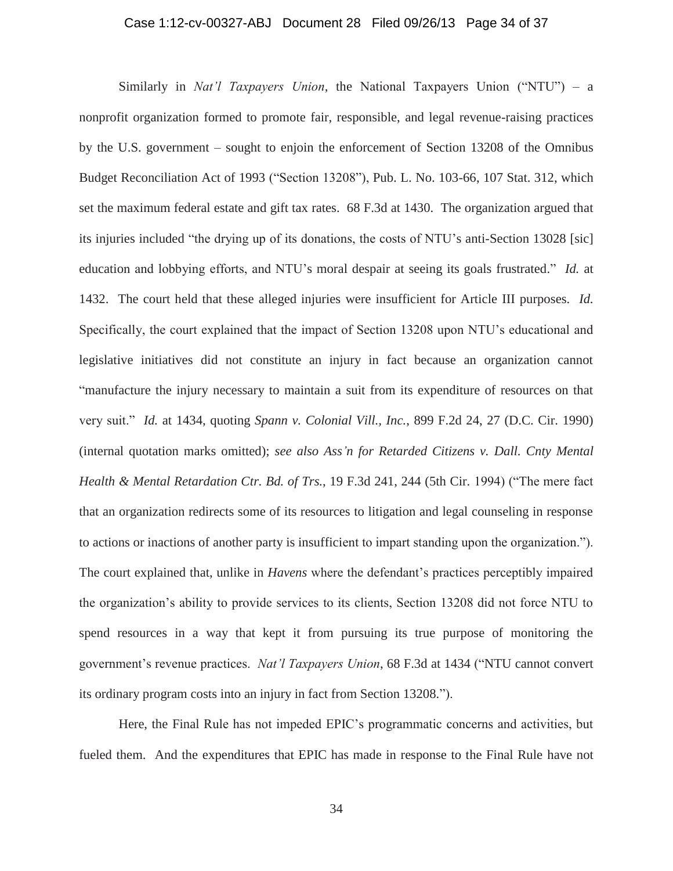# Case 1:12-cv-00327-ABJ Document 28 Filed 09/26/13 Page 34 of 37

Similarly in *Nat'l Taxpayers Union*, the National Taxpayers Union ("NTU") – a nonprofit organization formed to promote fair, responsible, and legal revenue-raising practices by the U.S. government – sought to enjoin the enforcement of Section 13208 of the Omnibus Budget Reconciliation Act of 1993 ("Section 13208"), Pub. L. No. 103-66, 107 Stat. 312, which set the maximum federal estate and gift tax rates. 68 F.3d at 1430. The organization argued that its injuries included "the drying up of its donations, the costs of NTU's anti-Section 13028 [sic] education and lobbying efforts, and NTU's moral despair at seeing its goals frustrated." *Id.* at 1432. The court held that these alleged injuries were insufficient for Article III purposes. *Id.* Specifically, the court explained that the impact of Section 13208 upon NTU's educational and legislative initiatives did not constitute an injury in fact because an organization cannot "manufacture the injury necessary to maintain a suit from its expenditure of resources on that very suit." *Id.* at 1434, quoting *Spann v. Colonial Vill., Inc.*, 899 F.2d 24, 27 (D.C. Cir. 1990) (internal quotation marks omitted); *see also Ass'n for Retarded Citizens v. Dall. Cnty Mental Health & Mental Retardation Ctr. Bd. of Trs.*, 19 F.3d 241, 244 (5th Cir. 1994) ("The mere fact that an organization redirects some of its resources to litigation and legal counseling in response to actions or inactions of another party is insufficient to impart standing upon the organization."). The court explained that, unlike in *Havens* where the defendant's practices perceptibly impaired the organization's ability to provide services to its clients, Section 13208 did not force NTU to spend resources in a way that kept it from pursuing its true purpose of monitoring the government's revenue practices. *Nat'l Taxpayers Union*, 68 F.3d at 1434 ("NTU cannot convert its ordinary program costs into an injury in fact from Section 13208.").

Here, the Final Rule has not impeded EPIC's programmatic concerns and activities, but fueled them. And the expenditures that EPIC has made in response to the Final Rule have not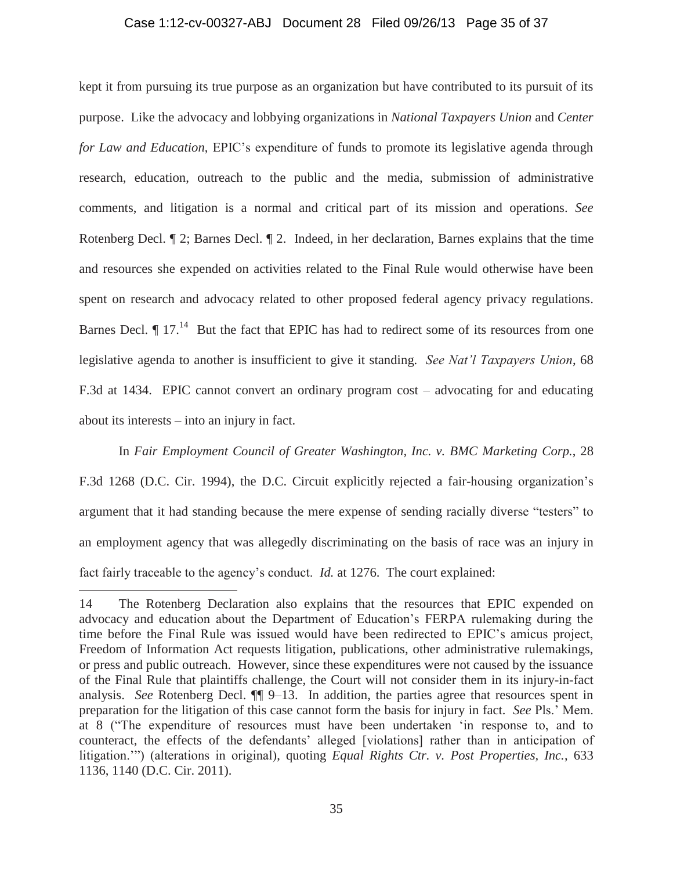# Case 1:12-cv-00327-ABJ Document 28 Filed 09/26/13 Page 35 of 37

kept it from pursuing its true purpose as an organization but have contributed to its pursuit of its purpose. Like the advocacy and lobbying organizations in *National Taxpayers Union* and *Center for Law and Education*, EPIC's expenditure of funds to promote its legislative agenda through research, education, outreach to the public and the media, submission of administrative comments, and litigation is a normal and critical part of its mission and operations. *See*  Rotenberg Decl. ¶ 2; Barnes Decl. ¶ 2. Indeed, in her declaration, Barnes explains that the time and resources she expended on activities related to the Final Rule would otherwise have been spent on research and advocacy related to other proposed federal agency privacy regulations. Barnes Decl.  $\P$  17.<sup>14</sup> But the fact that EPIC has had to redirect some of its resources from one legislative agenda to another is insufficient to give it standing. *See Nat'l Taxpayers Union*, 68 F.3d at 1434. EPIC cannot convert an ordinary program cost – advocating for and educating about its interests – into an injury in fact.

In *Fair Employment Council of Greater Washington, Inc. v. BMC Marketing Corp.*, 28 F.3d 1268 (D.C. Cir. 1994), the D.C. Circuit explicitly rejected a fair-housing organization's argument that it had standing because the mere expense of sending racially diverse "testers" to an employment agency that was allegedly discriminating on the basis of race was an injury in fact fairly traceable to the agency's conduct. *Id.* at 1276. The court explained:

<sup>14</sup> The Rotenberg Declaration also explains that the resources that EPIC expended on advocacy and education about the Department of Education's FERPA rulemaking during the time before the Final Rule was issued would have been redirected to EPIC's amicus project, Freedom of Information Act requests litigation, publications, other administrative rulemakings, or press and public outreach. However, since these expenditures were not caused by the issuance of the Final Rule that plaintiffs challenge, the Court will not consider them in its injury-in-fact analysis. *See* Rotenberg Decl. ¶¶ 9–13. In addition, the parties agree that resources spent in preparation for the litigation of this case cannot form the basis for injury in fact. *See* Pls.' Mem. at 8 ("The expenditure of resources must have been undertaken 'in response to, and to counteract, the effects of the defendants' alleged [violations] rather than in anticipation of litigation.'") (alterations in original), quoting *Equal Rights Ctr. v. Post Properties, Inc.*, 633 1136, 1140 (D.C. Cir. 2011).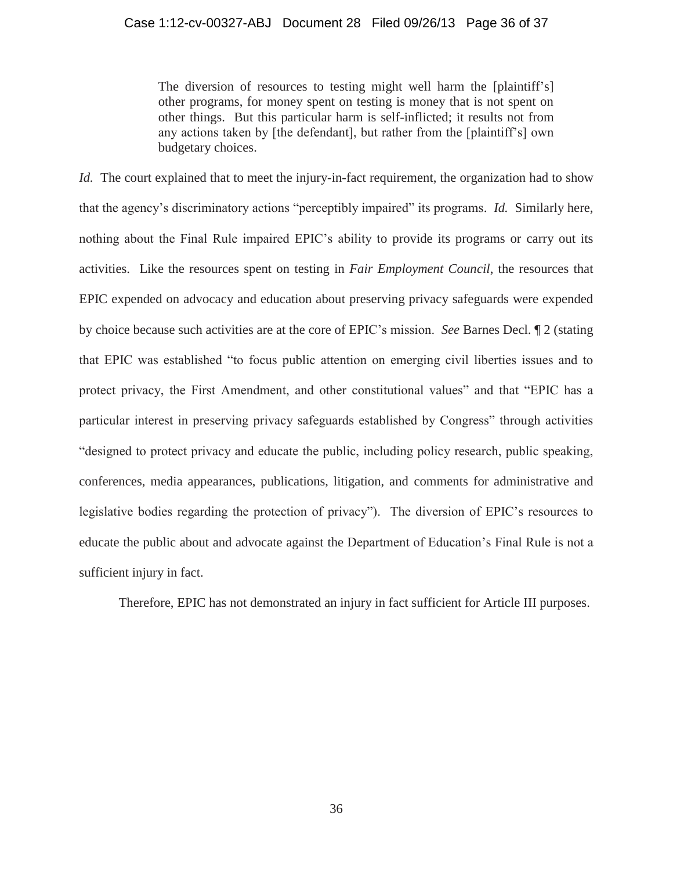# Case 1:12-cv-00327-ABJ Document 28 Filed 09/26/13 Page 36 of 37

The diversion of resources to testing might well harm the [plaintiff's] other programs, for money spent on testing is money that is not spent on other things. But this particular harm is self-inflicted; it results not from any actions taken by [the defendant], but rather from the [plaintiff's] own budgetary choices.

*Id.* The court explained that to meet the injury-in-fact requirement, the organization had to show that the agency's discriminatory actions "perceptibly impaired" its programs. *Id.* Similarly here, nothing about the Final Rule impaired EPIC's ability to provide its programs or carry out its activities. Like the resources spent on testing in *Fair Employment Council*, the resources that EPIC expended on advocacy and education about preserving privacy safeguards were expended by choice because such activities are at the core of EPIC's mission. *See* Barnes Decl. ¶ 2 (stating that EPIC was established "to focus public attention on emerging civil liberties issues and to protect privacy, the First Amendment, and other constitutional values" and that "EPIC has a particular interest in preserving privacy safeguards established by Congress" through activities "designed to protect privacy and educate the public, including policy research, public speaking, conferences, media appearances, publications, litigation, and comments for administrative and legislative bodies regarding the protection of privacy"). The diversion of EPIC's resources to educate the public about and advocate against the Department of Education's Final Rule is not a sufficient injury in fact.

Therefore, EPIC has not demonstrated an injury in fact sufficient for Article III purposes.